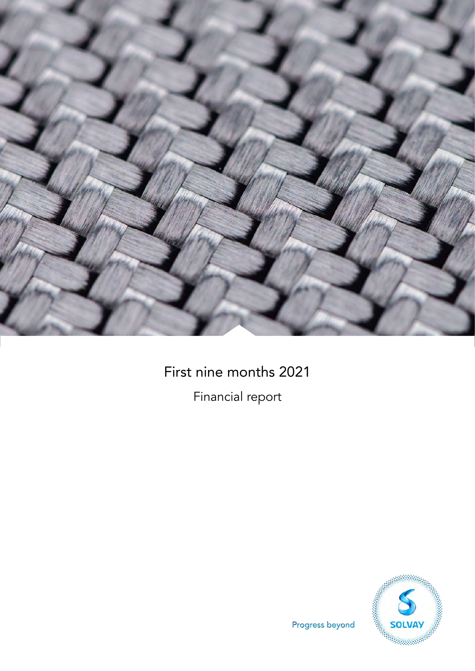

# First nine months 2021

Financial report



Progress beyond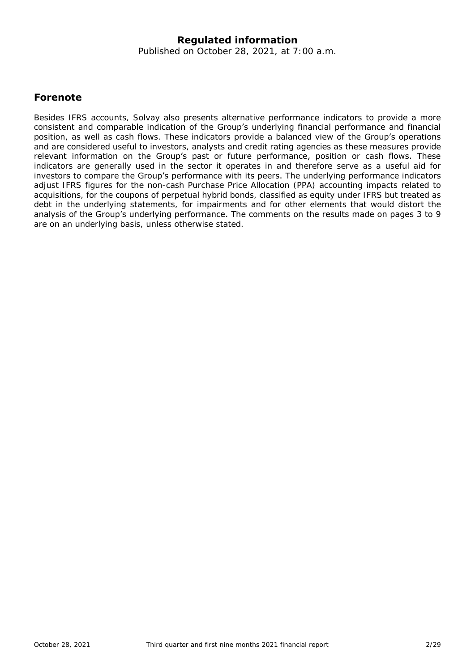### **Regulated information**

Published on October 28, 2021, at 7:00 a.m.

### **Forenote**

Besides IFRS accounts, Solvay also presents alternative performance indicators to provide a more consistent and comparable indication of the Group's underlying financial performance and financial position, as well as cash flows. These indicators provide a balanced view of the Group's operations and are considered useful to investors, analysts and credit rating agencies as these measures provide relevant information on the Group's past or future performance, position or cash flows. These indicators are generally used in the sector it operates in and therefore serve as a useful aid for investors to compare the Group's performance with its peers. The underlying performance indicators adjust IFRS figures for the non-cash Purchase Price Allocation (PPA) accounting impacts related to acquisitions, for the coupons of perpetual hybrid bonds, classified as equity under IFRS but treated as debt in the underlying statements, for impairments and for other elements that would distort the analysis of the Group's underlying performance. The comments on the results made on pages 3 to 9 are on an underlying basis, unless otherwise stated.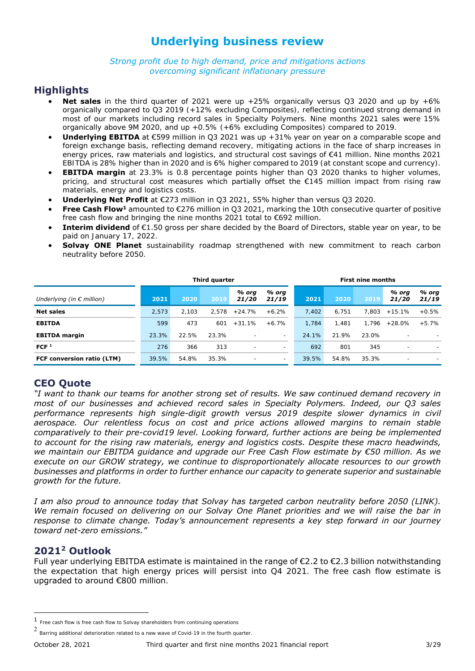# **Underlying business review**

*Strong profit due to high demand, price and mitigations actions overcoming significant inflationary pressure*

### **Highlights**

- **Net sales** in the third quarter of 2021 were up +25% organically versus Q3 2020 and up by +6% organically compared to Q3 2019 (+12% excluding Composites), reflecting continued strong demand in most of our markets including record sales in Specialty Polymers. Nine months 2021 sales were 15% organically above 9M 2020, and up +0.5% (+6% excluding Composites) compared to 2019.
- **Underlying EBITDA** at €599 million in Q3 2021 was up +31% year on year on a comparable scope and foreign exchange basis, reflecting demand recovery, mitigating actions in the face of sharp increases in energy prices, raw materials and logistics, and structural cost savings of €41 million. Nine months 2021 EBITDA is 28% higher than in 2020 and is 6% higher compared to 2019 (at constant scope and currency).
- **EBITDA margin** at 23.3% is 0.8 percentage points higher than Q3 2020 thanks to higher volumes, pricing, and structural cost measures which partially offset the €145 million impact from rising raw materials, energy and logistics costs.
- **Underlying Net Profit** at €273 million in Q3 2021, 55% higher than versus Q3 2020.
- **Free Cash Flow<sup>1</sup>** amounted to €276 million in O3 2021, marking the 10th consecutive quarter of positive free cash flow and bringing the nine months 2021 total to €692 million.
- **Interim dividend** of €1.50 gross per share decided by the Board of Directors, stable year on year, to be paid on January 17, 2022.
- **Solvay ONE Planet** sustainability roadmap strengthened with new commitment to reach carbon neutrality before 2050.

|                                    | Third quarter |       |       |                          |                          |       | <b>First nine months</b> |       |                          |                          |
|------------------------------------|---------------|-------|-------|--------------------------|--------------------------|-------|--------------------------|-------|--------------------------|--------------------------|
| Underlying (in $\epsilon$ million) | 2021          | 2020  | 2019  | % org<br>21/20           | % org<br>21/19           | 2021  | 2020                     | 2019  | % org<br>21/20           | % org<br>21/19           |
| <b>Net sales</b>                   | 2.573         | 2.103 | 2.578 | $+24.7%$                 | $+6.2%$                  | 7.402 | 6.751                    | 7.803 | $+15.1%$                 | $+0.5%$                  |
| <b>EBITDA</b>                      | 599           | 473   | 601   | $+31.1%$                 | $+6.7%$                  | 1.784 | 1.481                    | 1.796 | $+28.0\%$                | $+5.7%$                  |
| <b>EBITDA</b> margin               | 23.3%         | 22.5% | 23.3% | $\overline{\phantom{a}}$ | $\sim$                   | 24.1% | 21.9%                    | 23.0% | $\overline{\phantom{a}}$ |                          |
| FCF <sup>1</sup>                   | 276           | 366   | 313   | -                        | $\overline{\phantom{a}}$ | 692   | 801                      | 345   | $\overline{\phantom{a}}$ | $\overline{\phantom{a}}$ |
| <b>FCF conversion ratio (LTM)</b>  | 39.5%         | 54.8% | 35.3% | $\overline{\phantom{a}}$ | $\overline{\phantom{0}}$ | 39.5% | 54.8%                    | 35.3% | $\overline{\phantom{a}}$ |                          |

### **CEO Quote**

*"I want to thank our teams for another strong set of results. We saw continued demand recovery in most of our businesses and achieved record sales in Specialty Polymers. Indeed, our Q3 sales performance represents high single-digit growth versus 2019 despite slower dynamics in civil aerospace. Our relentless focus on cost and price actions allowed margins to remain stable comparatively to their pre-covid19 level. Looking forward, further actions are being be implemented to account for the rising raw materials, energy and logistics costs. Despite these macro headwinds, we maintain our EBITDA guidance and upgrade our Free Cash Flow estimate by €50 million. As we execute on our GROW strategy, we continue to disproportionately allocate resources to our growth businesses and platforms in order to further enhance our capacity to generate superior and sustainable growth for the future.*

*I am also proud to announce today that Solvay has targeted carbon neutrality before 2050 (LINK). We remain focused on delivering on our Solvay One Planet priorities and we will raise the bar in response to climate change. Today's announcement represents a key step forward in our journey toward net-zero emissions."*

### **2021<sup>2</sup> Outlook**

Full year underlying EBITDA estimate is maintained in the range of €2.2 to €2.3 billion notwithstanding the expectation that high energy prices will persist into Q4 2021. The free cash flow estimate is upgraded to around €800 million.

ł

<sup>1</sup> Free cash flow is free cash flow to Solvay shareholders from continuing operations

<sup>2</sup> Barring additional deterioration related to a new wave of Covid-19 in the fourth quarter.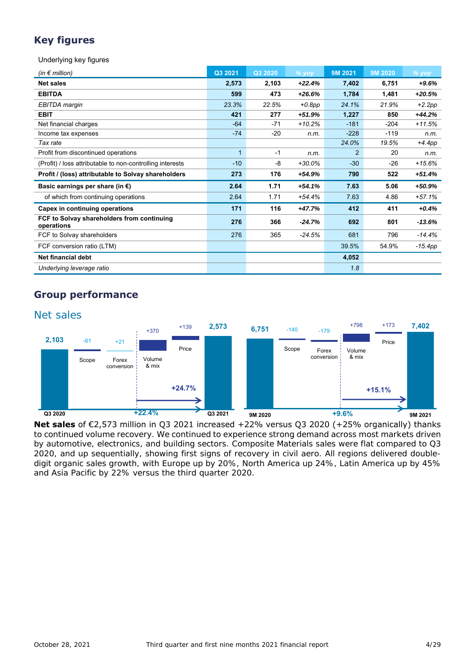## **Key figures**

Underlying key figures

| (in $\epsilon$ million)                                   | Q3 2021      | Q3 2020 | $%$ vov   | 9M 2021        | 9M 2020 | $%$ yoy   |
|-----------------------------------------------------------|--------------|---------|-----------|----------------|---------|-----------|
| <b>Net sales</b>                                          | 2,573        | 2,103   | $+22.4%$  | 7,402          | 6,751   | $+9.6%$   |
| <b>EBITDA</b>                                             | 599          | 473     | $+26.6%$  | 1,784          | 1,481   | $+20.5%$  |
| EBITDA margin                                             | 23.3%        | 22.5%   | $+0.8$ pp | 24.1%          | 21.9%   | $+2.2pp$  |
| <b>EBIT</b>                                               | 421          | 277     | $+51.9%$  | 1,227          | 850     | $+44.2%$  |
| Net financial charges                                     | $-64$        | -71     | $+10.2%$  | $-181$         | $-204$  | $+11.5%$  |
| Income tax expenses                                       | $-74$        | $-20$   | n.m.      | $-228$         | $-119$  | n.m.      |
| Tax rate                                                  |              |         |           | 24.0%          | 19.5%   | $+4.4pp$  |
| Profit from discontinued operations                       | $\mathbf{1}$ | $-1$    | n.m.      | $\overline{2}$ | 20      | n.m.      |
| (Profit) / loss attributable to non-controlling interests | $-10$        | -8      | $+30.0%$  | $-30$          | $-26$   | $+15.6%$  |
| Profit / (loss) attributable to Solvay shareholders       | 273          | 176     | +54.9%    | 790            | 522     | $+51.4%$  |
| Basic earnings per share (in $\epsilon$ )                 | 2.64         | 1.71    | $+54.1%$  | 7.63           | 5.06    | $+50.9%$  |
| of which from continuing operations                       | 2.64         | 1.71    | +54.4%    | 7.63           | 4.86    | $+57.1%$  |
| Capex in continuing operations                            | 171          | 116     | $+47.7%$  | 412            | 411     | $+0.4%$   |
| FCF to Solvay shareholders from continuing<br>operations  | 276          | 366     | $-24.7%$  | 692            | 801     | $-13.6%$  |
| FCF to Solvay shareholders                                | 276          | 365     | $-24.5%$  | 681            | 796     | $-14.4%$  |
| FCF conversion ratio (LTM)                                |              |         |           | 39.5%          | 54.9%   | $-15.4pp$ |
| Net financial debt                                        |              |         |           | 4,052          |         |           |
| Underlying leverage ratio                                 |              |         |           | 1.8            |         |           |

### **Group performance**



**Net sales** of €2,573 million in Q3 2021 increased +22% versus Q3 2020 (+25% organically) thanks to continued volume recovery. We continued to experience strong demand across most markets driven by automotive, electronics, and building sectors. Composite Materials sales were flat compared to Q3 2020, and up sequentially, showing first signs of recovery in civil aero. All regions delivered doubledigit organic sales growth, with Europe up by 20%, North America up 24%, Latin America up by 45% and Asia Pacific by 22% versus the third quarter 2020.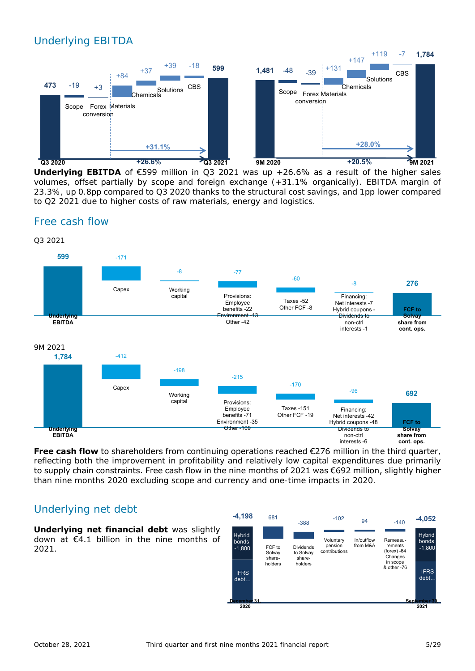# Underlying EBITDA

Free cash flow



**Underlying EBITDA** of €599 million in Q3 2021 was up +26.6% as a result of the higher sales volumes, offset partially by scope and foreign exchange (+31.1% organically). EBITDA margin of 23.3%, up 0.8pp compared to Q3 2020 thanks to the structural cost savings, and 1pp lower compared to Q2 2021 due to higher costs of raw materials, energy and logistics.



**Free cash flow** to shareholders from continuing operations reached €276 million in the third quarter, reflecting both the improvement in profitability and relatively low capital expenditures due primarily to supply chain constraints. Free cash flow in the nine months of 2021 was €692 million, slightly higher than nine months 2020 excluding scope and currency and one-time impacts in 2020.

### Underlying net debt

**Underlying net financial debt** was slightly down at €4.1 billion in the nine months of 2021.

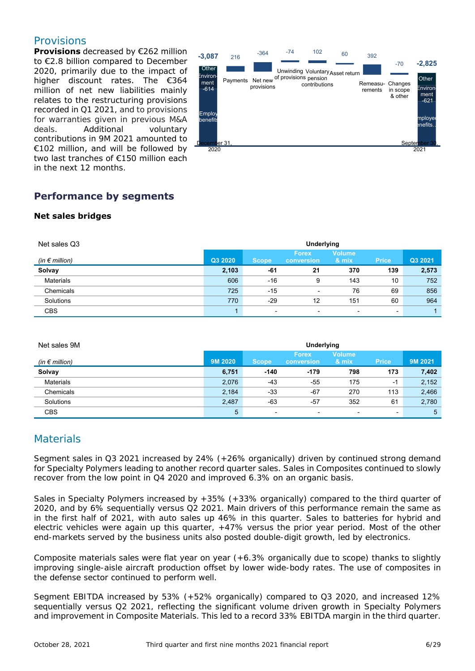### Provisions

**Provisions** decreased by €262 million to €2.8 billion compared to December 2020, primarily due to the impact of higher discount rates. The €364 million of net new liabilities mainly relates to the restructuring provisions recorded in Q1 2021, and to provisions for warranties given in previous M&A deals. Additional voluntary contributions in 9M 2021 amounted to €102 million, and will be followed by two last tranches of €150 million each in the next 12 months.



### **Performance by segments**

#### **Net sales bridges**

| Net sales Q3            | Underlying |              |                            |                          |              |         |
|-------------------------|------------|--------------|----------------------------|--------------------------|--------------|---------|
| (in $\epsilon$ million) | Q3 2020    | <b>Scope</b> | <b>Forex</b><br>conversion | <b>Volume</b><br>& mix   | <b>Price</b> | Q3 2021 |
| Solvay                  | 2,103      | -61          | 21                         | 370                      | 139          | 2,573   |
| <b>Materials</b>        | 606        | $-16$        | 9                          | 143                      | 10           | 752     |
| Chemicals               | 725        | -15          | $\blacksquare$             | 76                       | 69           | 856     |
| Solutions               | 770        | $-29$        | 12                         | 151                      | 60           | 964     |
| <b>CBS</b>              |            | ٠            | $\overline{\phantom{a}}$   | $\overline{\phantom{0}}$ |              |         |

| Net sales 9M       | Underlying |                |                            |                          |              |         |  |
|--------------------|------------|----------------|----------------------------|--------------------------|--------------|---------|--|
| (in $\in$ million) | 9M 2020    | <b>Scope</b>   | <b>Forex</b><br>conversion | <b>Volume</b><br>8. mix. | <b>Price</b> | 9M 2021 |  |
| Solvay             | 6,751      | $-140$         | $-179$                     | 798                      | 173          | 7,402   |  |
| <b>Materials</b>   | 2,076      | $-43$          | -55                        | 175                      | -1           | 2,152   |  |
| Chemicals          | 2,184      | $-33$          | -67                        | 270                      | 113          | 2,466   |  |
| Solutions          | 2,487      | $-63$          | $-57$                      | 352                      | 61           | 2,780   |  |
| <b>CBS</b>         | 5          | $\blacksquare$ | $\overline{\phantom{0}}$   | $\overline{\phantom{0}}$ | ۰            | 5       |  |

### **Materials**

Segment sales in Q3 2021 increased by 24% (+26% organically) driven by continued strong demand for Specialty Polymers leading to another record quarter sales. Sales in Composites continued to slowly recover from the low point in Q4 2020 and improved 6.3% on an organic basis.

Sales in Specialty Polymers increased by +35% (+33% organically) compared to the third quarter of 2020, and by 6% sequentially versus Q2 2021. Main drivers of this performance remain the same as in the first half of 2021, with auto sales up 46% in this quarter. Sales to batteries for hybrid and electric vehicles were again up this quarter, +47% versus the prior year period. Most of the other end-markets served by the business units also posted double-digit growth, led by electronics.

Composite materials sales were flat year on year (+6.3% organically due to scope) thanks to slightly improving single-aisle aircraft production offset by lower wide-body rates. The use of composites in the defense sector continued to perform well.

Segment EBITDA increased by 53% (+52% organically) compared to Q3 2020, and increased 12% sequentially versus Q2 2021, reflecting the significant volume driven growth in Specialty Polymers and improvement in Composite Materials. This led to a record 33% EBITDA margin in the third quarter.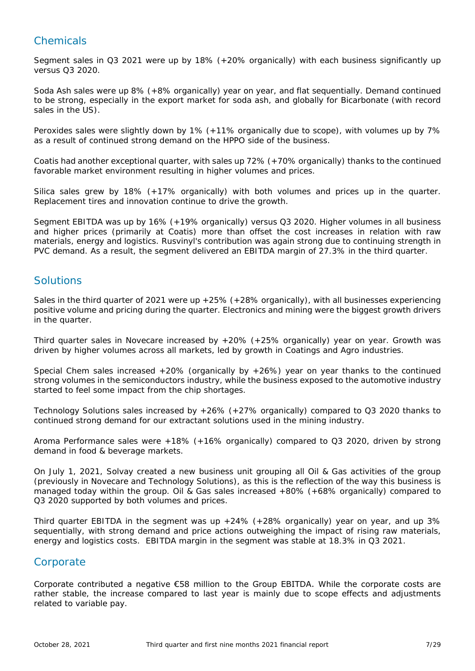### **Chemicals**

Segment sales in Q3 2021 were up by 18% (+20% organically) with each business significantly up versus Q3 2020.

Soda Ash sales were up 8% (+8% organically) year on year, and flat sequentially. Demand continued to be strong, especially in the export market for soda ash, and globally for Bicarbonate (with record sales in the US).

Peroxides sales were slightly down by 1% (+11% organically due to scope), with volumes up by 7% as a result of continued strong demand on the HPPO side of the business.

Coatis had another exceptional quarter, with sales up 72% (+70% organically) thanks to the continued favorable market environment resulting in higher volumes and prices.

Silica sales grew by 18% (+17% organically) with both volumes and prices up in the quarter. Replacement tires and innovation continue to drive the growth.

Segment EBITDA was up by 16% (+19% organically) versus Q3 2020. Higher volumes in all business and higher prices (primarily at Coatis) more than offset the cost increases in relation with raw materials, energy and logistics. Rusvinyl's contribution was again strong due to continuing strength in PVC demand. As a result, the segment delivered an EBITDA margin of 27.3% in the third quarter.

### Solutions

Sales in the third quarter of 2021 were up +25% (+28% organically), with all businesses experiencing positive volume and pricing during the quarter. Electronics and mining were the biggest growth drivers in the quarter.

Third quarter sales in Novecare increased by +20% (+25% organically) year on year. Growth was driven by higher volumes across all markets, led by growth in Coatings and Agro industries.

Special Chem sales increased  $+20\%$  (organically by  $+26\%$ ) year on year thanks to the continued strong volumes in the semiconductors industry, while the business exposed to the automotive industry started to feel some impact from the chip shortages.

Technology Solutions sales increased by +26% (+27% organically) compared to Q3 2020 thanks to continued strong demand for our extractant solutions used in the mining industry.

Aroma Performance sales were +18% (+16% organically) compared to Q3 2020, driven by strong demand in food & beverage markets.

On July 1, 2021, Solvay created a new business unit grouping all Oil & Gas activities of the group (previously in Novecare and Technology Solutions), as this is the reflection of the way this business is managed today within the group. Oil & Gas sales increased +80% (+68% organically) compared to Q3 2020 supported by both volumes and prices.

Third quarter EBITDA in the segment was up  $+24\%$  ( $+28\%$  organically) year on year, and up 3% sequentially, with strong demand and price actions outweighing the impact of rising raw materials, energy and logistics costs. EBITDA margin in the segment was stable at 18.3% in Q3 2021.

### **Corporate**

Corporate contributed a negative €58 million to the Group EBITDA. While the corporate costs are rather stable, the increase compared to last year is mainly due to scope effects and adjustments related to variable pay.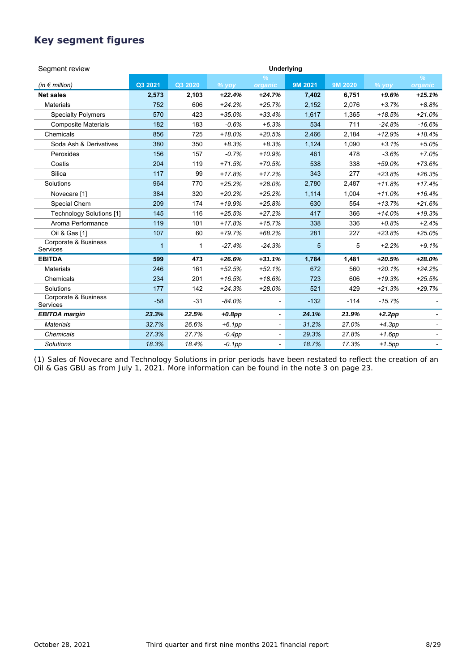### **Key segment figures**

| Segment review                   | Underlying   |         |           |                          |         |         |          |                          |
|----------------------------------|--------------|---------|-----------|--------------------------|---------|---------|----------|--------------------------|
| (in $\notin$ million)            | Q3 2021      | Q3 2020 | $%$ yoy   | $\frac{9}{6}$<br>organic | 9M 2021 | 9M 2020 | $%$ yoy  | $\frac{9}{6}$<br>organic |
| <b>Net sales</b>                 | 2,573        | 2,103   | $+22.4%$  | $+24.7%$                 | 7,402   | 6,751   | $+9.6%$  | $+15.1%$                 |
| <b>Materials</b>                 | 752          | 606     | $+24.2%$  | $+25.7%$                 | 2,152   | 2,076   | $+3.7%$  | $+8.8%$                  |
| <b>Specialty Polymers</b>        | 570          | 423     | $+35.0%$  | $+33.4%$                 | 1,617   | 1,365   | $+18.5%$ | $+21.0%$                 |
| <b>Composite Materials</b>       | 182          | 183     | $-0.6%$   | $+6.3%$                  | 534     | 711     | $-24.8%$ | $-16.6%$                 |
| Chemicals                        | 856          | 725     | $+18.0%$  | $+20.5%$                 | 2,466   | 2,184   | $+12.9%$ | $+18.4%$                 |
| Soda Ash & Derivatives           | 380          | 350     | $+8.3%$   | $+8.3%$                  | 1,124   | 1,090   | $+3.1%$  | $+5.0%$                  |
| Peroxides                        | 156          | 157     | $-0.7%$   | $+10.9%$                 | 461     | 478     | $-3.6%$  | $+7.0%$                  |
| Coatis                           | 204          | 119     | $+71.5%$  | $+70.5%$                 | 538     | 338     | $+59.0%$ | $+73.6%$                 |
| Silica                           | 117          | 99      | $+17.8%$  | $+17.2%$                 | 343     | 277     | $+23.8%$ | $+26.3%$                 |
| Solutions                        | 964          | 770     | $+25.2%$  | $+28.0%$                 | 2,780   | 2,487   | $+11.8%$ | $+17.4%$                 |
| Novecare [1]                     | 384          | 320     | $+20.2%$  | $+25.2%$                 | 1,114   | 1.004   | $+11.0%$ | $+16.4%$                 |
| Special Chem                     | 209          | 174     | $+19.9%$  | $+25.8%$                 | 630     | 554     | $+13.7%$ | $+21.6%$                 |
| <b>Technology Solutions [1]</b>  | 145          | 116     | $+25.5%$  | $+27.2%$                 | 417     | 366     | $+14.0%$ | $+19.3%$                 |
| Aroma Performance                | 119          | 101     | $+17.8%$  | $+15.7%$                 | 338     | 336     | $+0.8%$  | $+2.4%$                  |
| Oil & Gas [1]                    | 107          | 60      | $+79.7%$  | $+68.2%$                 | 281     | 227     | $+23.8%$ | $+25.0%$                 |
| Corporate & Business<br>Services | $\mathbf{1}$ | 1       | $-27.4%$  | $-24.3%$                 | 5       | 5       | $+2.2%$  | $+9.1%$                  |
| <b>EBITDA</b>                    | 599          | 473     | $+26.6%$  | $+31.1%$                 | 1,784   | 1,481   | $+20.5%$ | $+28.0%$                 |
| <b>Materials</b>                 | 246          | 161     | $+52.5%$  | $+52.1%$                 | 672     | 560     | $+20.1%$ | $+24.2%$                 |
| Chemicals                        | 234          | 201     | $+16.5%$  | $+18.6%$                 | 723     | 606     | $+19.3%$ | $+25.5%$                 |
| Solutions                        | 177          | 142     | $+24.3%$  | $+28.0%$                 | 521     | 429     | $+21.3%$ | $+29.7%$                 |
| Corporate & Business<br>Services | $-58$        | $-31$   | $-84.0%$  |                          | $-132$  | $-114$  | $-15.7%$ |                          |
| <b>EBITDA</b> margin             | 23.3%        | 22.5%   | $+0.8$ pp | -                        | 24.1%   | 21.9%   | $+2.2pp$ |                          |
| <b>Materials</b>                 | 32.7%        | 26.6%   | $+6.1pp$  | $\overline{\phantom{0}}$ | 31.2%   | 27.0%   | $+4.3pp$ |                          |
| <b>Chemicals</b>                 | 27.3%        | 27.7%   | $-0.4pp$  | $\overline{\phantom{a}}$ | 29.3%   | 27.8%   | $+1.6pp$ |                          |
| <b>Solutions</b>                 | 18.3%        | 18.4%   | $-0.1pp$  | $\overline{\phantom{0}}$ | 18.7%   | 17.3%   | $+1.5pp$ |                          |

(1) Sales of Novecare and Technology Solutions in prior periods have been restated to reflect the creation of an Oil & Gas GBU as from July 1, 2021. More information can be found in the note 3 on page 23.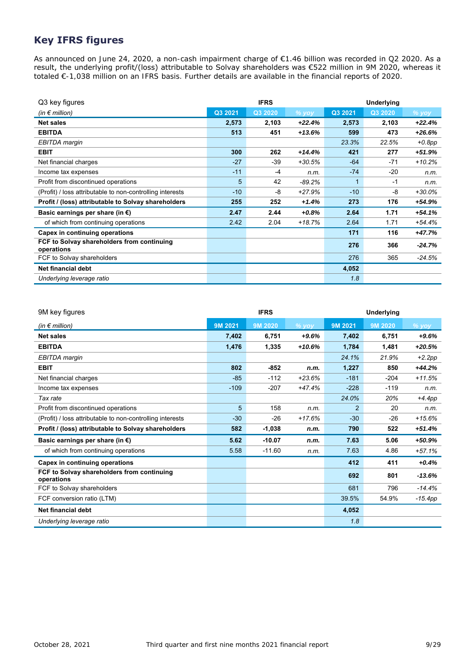### **Key IFRS figures**

As announced on June 24, 2020, a non-cash impairment **charge of €1.46 billion was recorded in Q2 2020. As a** result, the underlying profit/(loss) attributable to Solvay shareholders was €522 million in 9M 2020, whereas it totaled €-1,038 million on an IFRS basis. Further details are available in the financial reports of 2020.

| Q3 key figures                                            |         | <b>IFRS</b> |          |             | Underlying |          |
|-----------------------------------------------------------|---------|-------------|----------|-------------|------------|----------|
| (in $\epsilon$ million)                                   | Q3 2021 | Q3 2020     | % yoy    | Q3 2021     | Q3 2020    | % yoy    |
| <b>Net sales</b>                                          | 2,573   | 2,103       | $+22.4%$ | 2,573       | 2,103      | $+22.4%$ |
| <b>EBITDA</b>                                             | 513     | 451         | $+13.6%$ | 599         | 473        | +26.6%   |
| EBITDA margin                                             |         |             |          | 23.3%       | 22.5%      | $+0.8pp$ |
| <b>EBIT</b>                                               | 300     | 262         | $+14.4%$ | 421         | 277        | +51.9%   |
| Net financial charges                                     | $-27$   | -39         | $+30.5%$ | $-64$       | $-71$      | $+10.2%$ |
| Income tax expenses                                       | $-11$   | $-4$        | n.m.     | $-74$       | $-20$      | n.m.     |
| Profit from discontinued operations                       | 5       | 42          | $-89.2%$ | $\mathbf 1$ | $-1$       | n.m.     |
| (Profit) / loss attributable to non-controlling interests | $-10$   | -8          | $+27.9%$ | $-10$       | -8         | $+30.0%$ |
| Profit / (loss) attributable to Solvay shareholders       | 255     | 252         | +1.4%    | 273         | 176        | +54.9%   |
| Basic earnings per share (in $\epsilon$ )                 | 2.47    | 2.44        | +0.8%    | 2.64        | 1.71       | $+54.1%$ |
| of which from continuing operations                       | 2.42    | 2.04        | $+18.7%$ | 2.64        | 1.71       | $+54.4%$ |
| Capex in continuing operations                            |         |             |          | 171         | 116        | +47.7%   |
| FCF to Solvay shareholders from continuing<br>operations  |         |             |          | 276         | 366        | $-24.7%$ |
| FCF to Solvay shareholders                                |         |             |          | 276         | 365        | $-24.5%$ |
| Net financial debt                                        |         |             |          | 4,052       |            |          |
| Underlying leverage ratio                                 |         |             |          | 1.8         |            |          |

| 9M key figures                                            |         | <b>IFRS</b> |          |                | Underlying |           |
|-----------------------------------------------------------|---------|-------------|----------|----------------|------------|-----------|
| (in $\epsilon$ million)                                   | 9M 2021 | 9M 2020     | $%$ vov  | 9M 2021        | 9M 2020    | $%$ yoy   |
| <b>Net sales</b>                                          | 7,402   | 6,751       | $+9.6%$  | 7,402          | 6,751      | $+9.6%$   |
| <b>EBITDA</b>                                             | 1,476   | 1,335       | $+10.6%$ | 1,784          | 1,481      | $+20.5%$  |
| EBITDA margin                                             |         |             |          | 24.1%          | 21.9%      | $+2.2pp$  |
| <b>EBIT</b>                                               | 802     | $-852$      | n.m.     | 1,227          | 850        | $+44.2%$  |
| Net financial charges                                     | $-85$   | $-112$      | $+23.6%$ | $-181$         | $-204$     | $+11.5%$  |
| Income tax expenses                                       | $-109$  | $-207$      | $+47.4%$ | $-228$         | $-119$     | n.m.      |
| Tax rate                                                  |         |             |          | 24.0%          | 20%        | $+4.4pp$  |
| Profit from discontinued operations                       | 5       | 158         | n.m.     | $\overline{2}$ | 20         | n.m.      |
| (Profit) / loss attributable to non-controlling interests | $-30$   | $-26$       | $+17.6%$ | $-30$          | $-26$      | $+15.6%$  |
| Profit / (loss) attributable to Solvay shareholders       | 582     | $-1,038$    | n.m.     | 790            | 522        | $+51.4%$  |
| Basic earnings per share (in $\epsilon$ )                 | 5.62    | $-10.07$    | n.m.     | 7.63           | 5.06       | $+50.9%$  |
| of which from continuing operations                       | 5.58    | $-11.60$    | n.m.     | 7.63           | 4.86       | $+57.1%$  |
| Capex in continuing operations                            |         |             |          | 412            | 411        | $+0.4%$   |
| FCF to Solvay shareholders from continuing<br>operations  |         |             |          | 692            | 801        | $-13.6%$  |
| FCF to Solvay shareholders                                |         |             |          | 681            | 796        | $-14.4%$  |
| FCF conversion ratio (LTM)                                |         |             |          | 39.5%          | 54.9%      | $-15.4pp$ |
| Net financial debt                                        |         |             |          | 4,052          |            |           |
| Underlying leverage ratio                                 |         |             |          | 1.8            |            |           |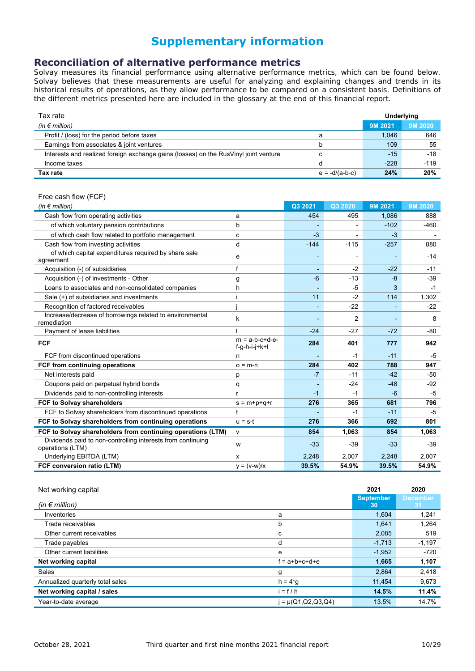# **Supplementary information**

### **Reconciliation of alternative performance metrics**

Solvay measures its financial performance using alternative performance metrics, which can be found below. Solvay believes that these measurements are useful for analyzing and explaining changes and trends in its historical results of operations, as they allow performance to be compared on a consistent basis. Definitions of the different metrics presented here are included in the glossary at the end of this financial report.

| Tax rate                                                                             |                  |         | Underlying |
|--------------------------------------------------------------------------------------|------------------|---------|------------|
| (in $\epsilon$ million)                                                              |                  | 9M 2021 | 9M 2020    |
| Profit / (loss) for the period before taxes                                          | а                | 1.046   | 646        |
| Earnings from associates & joint ventures                                            | b                | 109     | 55         |
| Interests and realized foreign exchange gains (losses) on the RusVinyl joint venture |                  | $-15$   | $-18$      |
| Income taxes                                                                         |                  | $-228$  | $-119$     |
| Tax rate                                                                             | $e = -d/(a-b-c)$ | 24%     | 20%        |

#### Free cash flow (FCF)

| (in $\notin$ million)                                                           |                                     | Q3 2021 | Q3 2020 | 9M 2021 | 9M 2020 |
|---------------------------------------------------------------------------------|-------------------------------------|---------|---------|---------|---------|
| Cash flow from operating activities                                             | а                                   | 454     | 495     | 1,086   | 888     |
| of which voluntary pension contributions                                        | b                                   |         |         | $-102$  | $-460$  |
| of which cash flow related to portfolio management                              | с                                   | $-3$    | -       | $-3$    |         |
| Cash flow from investing activities                                             | d                                   | $-144$  | $-115$  | $-257$  | 880     |
| of which capital expenditures required by share sale<br>agreement               | e                                   |         |         |         | $-14$   |
| Acquisition (-) of subsidiaries                                                 | f                                   |         | $-2$    | $-22$   | $-11$   |
| Acquisition (-) of investments - Other                                          | g                                   | $-6$    | $-13$   | $-8$    | $-39$   |
| Loans to associates and non-consolidated companies                              | h                                   |         | $-5$    | 3       | $-1$    |
| Sale (+) of subsidiaries and investments                                        |                                     | 11      | $-2$    | 114     | 1.302   |
| Recognition of factored receivables                                             |                                     |         | $-22$   |         | $-22$   |
| Increase/decrease of borrowings related to environmental<br>remediation         | k                                   |         | 2       |         | 8       |
| Payment of lease liabilities                                                    |                                     | $-24$   | $-27$   | $-72$   | -80     |
| <b>FCF</b>                                                                      | $m = a-b-c+d-e-$<br>$f-g-h-i-j+k+l$ | 284     | 401     | 777     | 942     |
| FCF from discontinued operations                                                | n                                   |         | $-1$    | $-11$   | $-5$    |
| FCF from continuing operations                                                  | $o = m-n$                           | 284     | 402     | 788     | 947     |
| Net interests paid                                                              | p                                   | $-7$    | $-11$   | $-42$   | -50     |
| Coupons paid on perpetual hybrid bonds                                          | q                                   |         | $-24$   | $-48$   | $-92$   |
| Dividends paid to non-controlling interests                                     | r                                   | $-1$    | $-1$    | $-6$    | $-5$    |
| FCF to Solvay shareholders                                                      | $s = m+p+q+r$                       | 276     | 365     | 681     | 796     |
| FCF to Solvay shareholders from discontinued operations                         | t                                   |         | $-1$    | $-11$   | -5      |
| FCF to Solvay shareholders from continuing operations                           | $u = s-t$                           | 276     | 366     | 692     | 801     |
| FCF to Solvay shareholders from continuing operations (LTM)                     | v                                   | 854     | 1,063   | 854     | 1,063   |
| Dividends paid to non-controlling interests from continuing<br>operations (LTM) | W                                   | $-33$   | $-39$   | $-33$   | $-39$   |
| Underlying EBITDA (LTM)                                                         | x                                   | 2,248   | 2,007   | 2,248   | 2,007   |
| FCF conversion ratio (LTM)                                                      | $y = (v-w)/x$                       | 39.5%   | 54.9%   | 39.5%   | 54.9%   |

| Net working capital              |                         | 2021                   | 2020                  |
|----------------------------------|-------------------------|------------------------|-----------------------|
| (in $\epsilon$ million)          |                         | <b>September</b><br>30 | <b>December</b><br>31 |
| Inventories                      | a                       | 1,604                  | 1,241                 |
| Trade receivables                | b                       | 1.641                  | 1,264                 |
| Other current receivables        | с                       | 2,085                  | 519                   |
| Trade payables                   | d                       | $-1,713$               | $-1,197$              |
| Other current liabilities        | e                       | $-1,952$               | $-720$                |
| Net working capital              | $f = a+b+c+d+e$         | 1,665                  | 1,107                 |
| Sales                            | g                       | 2.864                  | 2,418                 |
| Annualized quarterly total sales | $h = 4*g$               | 11,454                 | 9,673                 |
| Net working capital / sales      | $=f/h$                  | 14.5%                  | 11.4%                 |
| Year-to-date average             | $= \mu(Q1, Q2, Q3, Q4)$ | 13.5%                  | 14.7%                 |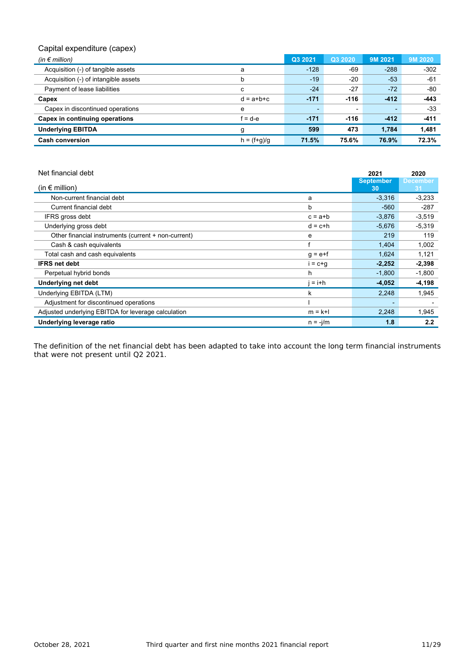### Capital expenditure (capex)

| (in $\epsilon$ million)              |                 | Q3 2021                  | Q3 2020 | 9M 2021                  | 9M 2020 |
|--------------------------------------|-----------------|--------------------------|---------|--------------------------|---------|
| Acquisition (-) of tangible assets   | a               | $-128$                   | -69     | $-288$                   | $-302$  |
| Acquisition (-) of intangible assets | b               | $-19$                    | $-20$   | $-53$                    | $-61$   |
| Payment of lease liabilities         | c               | $-24$                    | $-27$   | $-72$                    | $-80$   |
| Capex                                | $d = a + b + c$ | $-171$                   | $-116$  | $-412$                   | $-443$  |
| Capex in discontinued operations     | e               | $\overline{\phantom{a}}$ |         | $\overline{\phantom{a}}$ | $-33$   |
| Capex in continuing operations       | f = d-e         | $-171$                   | $-116$  | $-412$                   | $-411$  |
| <b>Underlying EBITDA</b>             | g               | 599                      | 473     | 1.784                    | 1,481   |
| <b>Cash conversion</b>               | $h = (f+g)/g$   | 71.5%                    | 75.6%   | 76.9%                    | 72.3%   |

| Net financial debt                                  |             | 2021                     | 2020                  |
|-----------------------------------------------------|-------------|--------------------------|-----------------------|
| (in $\epsilon$ million)                             |             | <b>September</b><br>30   | <b>December</b><br>31 |
| Non-current financial debt                          | a           | $-3,316$                 | $-3,233$              |
| Current financial debt                              | b           | $-560$                   | $-287$                |
| IFRS gross debt                                     | $c = a + b$ | $-3,876$                 | $-3,519$              |
| Underlying gross debt                               | $d = c+h$   | $-5,676$                 | $-5,319$              |
| Other financial instruments (current + non-current) | е           | 219                      | 119                   |
| Cash & cash equivalents                             |             | 1,404                    | 1,002                 |
| Total cash and cash equivalents                     | $q = e + f$ | 1,624                    | 1,121                 |
| <b>IFRS net debt</b>                                | i = c+q     | $-2,252$                 | $-2,398$              |
| Perpetual hybrid bonds                              | h           | $-1,800$                 | $-1,800$              |
| <b>Underlying net debt</b>                          | $= i+h$     | $-4,052$                 | $-4,198$              |
| Underlying EBITDA (LTM)                             | ĸ           | 2,248                    | 1,945                 |
| Adjustment for discontinued operations              |             | $\overline{\phantom{0}}$ |                       |
| Adjusted underlying EBITDA for leverage calculation | $m = k+1$   | 2,248                    | 1,945                 |
| Underlying leverage ratio                           | $n = -j/m$  | 1.8                      | 2.2                   |

The definition of the net financial debt has been adapted to take into account the long term financial instruments that were not present until Q2 2021.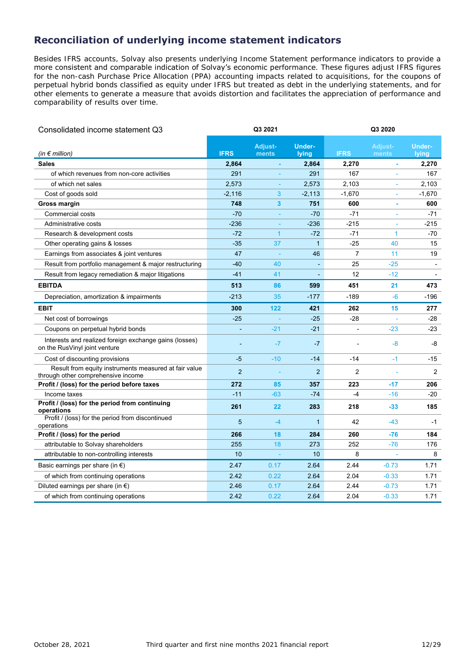### **Reconciliation of underlying income statement indicators**

Besides IFRS accounts, Solvay also presents underlying Income Statement performance indicators to provide a more consistent and comparable indication of Solvay's economic performance. These figures adjust IFRS figures for the non-cash Purchase Price Allocation (PPA) accounting impacts related to acquisitions, for the coupons of perpetual hybrid bonds classified as equity under IFRS but treated as debt in the underlying statements, and for other elements to generate a measure that avoids distortion and facilitates the appreciation of performance and comparability of results over time.

| Consolidated income statement Q3                                                            |                          | Q3 2021        |                | Q3 2020                  |                     |               |  |  |
|---------------------------------------------------------------------------------------------|--------------------------|----------------|----------------|--------------------------|---------------------|---------------|--|--|
|                                                                                             |                          | <b>Adjust-</b> | <b>Under-</b>  |                          | <b>Adjust-</b>      | <b>Under-</b> |  |  |
| (in $\notin$ million)                                                                       | <b>IFRS</b>              | ments          | lying          | <b>IFRS</b>              | ments               | lying         |  |  |
| <b>Sales</b>                                                                                | 2,864                    |                | 2,864          | 2,270                    | ä,                  | 2,270         |  |  |
| of which revenues from non-core activities                                                  | 291                      |                | 291            | 167                      | $\bar{\phantom{a}}$ | 167           |  |  |
| of which net sales                                                                          | 2,573                    | ÷              | 2,573          | 2,103                    | ä,                  | 2,103         |  |  |
| Cost of goods sold                                                                          | $-2,116$                 | 3              | $-2,113$       | $-1,670$                 | ÷                   | $-1,670$      |  |  |
| Gross margin                                                                                | 748                      | 3              | 751            | 600                      | ä,                  | 600           |  |  |
| <b>Commercial costs</b>                                                                     | $-70$                    | ٠              | $-70$          | $-71$                    | ÷                   | $-71$         |  |  |
| Administrative costs                                                                        | $-236$                   | ÷              | $-236$         | $-215$                   | ÷                   | -215          |  |  |
| Research & development costs                                                                | $-72$                    | $\mathbf{1}$   | $-72$          | $-71$                    | $\mathbf{1}$        | -70           |  |  |
| Other operating gains & losses                                                              | $-35$                    | 37             | $\mathbf{1}$   | $-25$                    | 40                  | 15            |  |  |
| Earnings from associates & joint ventures                                                   | 47                       | ÷,             | 46             | $\overline{7}$           | 11                  | 19            |  |  |
| Result from portfolio management & major restructuring                                      | $-40$                    | 40             | L,             | 25                       | $-25$               |               |  |  |
| Result from legacy remediation & major litigations                                          | $-41$                    | 41             |                | 12                       | $-12$               |               |  |  |
| <b>EBITDA</b>                                                                               | 513                      | 86             | 599            | 451                      | 21                  | 473           |  |  |
| Depreciation, amortization & impairments                                                    | $-213$                   | 35             | $-177$         | $-189$                   | $-6$                | -196          |  |  |
| <b>EBIT</b>                                                                                 | 300                      | 122            | 421            | 262                      | 15                  | 277           |  |  |
| Net cost of borrowings                                                                      | $-25$                    |                | $-25$          | $-28$                    | ÷                   | $-28$         |  |  |
| Coupons on perpetual hybrid bonds                                                           | $\overline{\phantom{a}}$ | $-21$          | $-21$          | $\overline{\phantom{a}}$ | $-23$               | $-23$         |  |  |
| Interests and realized foreign exchange gains (losses)<br>on the RusVinyl joint venture     |                          | $-7$           | $-7$           |                          | $-8$                | -8            |  |  |
| Cost of discounting provisions                                                              | -5                       | $-10$          | $-14$          | $-14$                    | $-1$                | $-15$         |  |  |
| Result from equity instruments measured at fair value<br>through other comprehensive income | $\overline{2}$           |                | $\overline{2}$ | $\overline{2}$           |                     | 2             |  |  |
| Profit / (loss) for the period before taxes                                                 | 272                      | 85             | 357            | 223                      | $-17$               | 206           |  |  |
| Income taxes                                                                                | $-11$                    | $-63$          | $-74$          | $-4$                     | $-16$               | $-20$         |  |  |
| Profit / (loss) for the period from continuing<br>operations                                | 261                      | 22             | 283            | 218                      | $-33$               | 185           |  |  |
| Profit / (loss) for the period from discontinued<br>operations                              | 5                        | $-4$           | $\mathbf{1}$   | 42                       | $-43$               | -1            |  |  |
| Profit / (loss) for the period                                                              | 266                      | 18             | 284            | 260                      | $-76$               | 184           |  |  |
| attributable to Solvay shareholders                                                         | 255                      | 18             | 273            | 252                      | $-76$               | 176           |  |  |
| attributable to non-controlling interests                                                   | 10                       |                | 10             | 8                        | ÷                   | 8             |  |  |
| Basic earnings per share (in $\epsilon$ )                                                   | 2.47                     | 0.17           | 2.64           | 2.44                     | $-0.73$             | 1.71          |  |  |
| of which from continuing operations                                                         | 2.42                     | 0.22           | 2.64           | 2.04                     | $-0.33$             | 1.71          |  |  |
| Diluted earnings per share (in $\epsilon$ )                                                 | 2.46                     | 0.17           | 2.64           | 2.44                     | $-0.73$             | 1.71          |  |  |
| of which from continuing operations                                                         | 2.42                     | 0.22           | 2.64           | 2.04                     | $-0.33$             | 1.71          |  |  |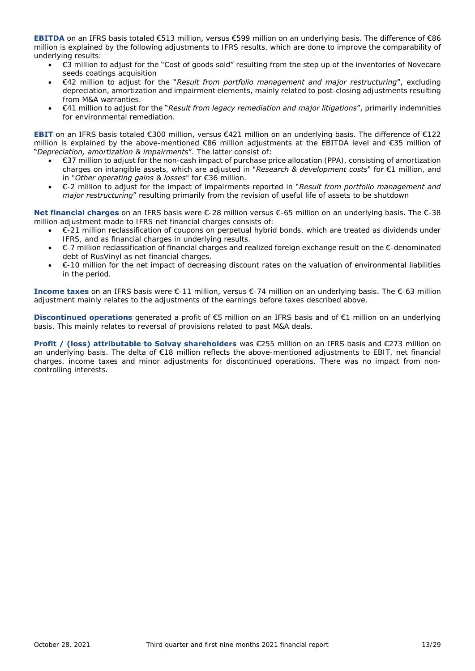**EBITDA** on an IFRS basis totaled €513 million, versus €599 million on an underlying basis. The difference of €86 million is explained by the following adjustments to IFRS results, which are done to improve the comparability of underlying results:

- €3 million to adjust for the "Cost of goods sold" resulting from the step up of the inventories of Novecare seeds coatings acquisition
- €42 million to adjust for the "*Result from portfolio management and major restructuring*", excluding depreciation, amortization and impairment elements, mainly related to post-closing adjustments resulting from M&A warranties.
- €41 million to adjust for the "*Result from legacy remediation and major litigations*", primarily indemnities for environmental remediation.

**EBIT** on an IFRS basis totaled €300 million, versus €421 million on an underlying basis. The difference of €122 million is explained by the above-mentioned €86 million adjustments at the EBITDA level and €35 million of "*Depreciation, amortization & impairments*". The latter consist of:

- €37 million to adjust for the non-cash impact of purchase price allocation (PPA), consisting of amortization charges on intangible assets, which are adjusted in "*Research & development costs*" for €1 million, and in "*Other operating gains & losses*" for €36 million.
- €-2 million to adjust for the impact of impairments reported in "*Result from portfolio management and major restructuring*" resulting primarily from the revision of useful life of assets to be shutdown

**Net financial charges** on an IFRS basis were €-28 million versus €-65 million on an underlying basis. The €-38 million adjustment made to IFRS net financial charges consists of:

- €-21 million reclassification of coupons on perpetual hybrid bonds, which are treated as dividends under IFRS, and as financial charges in underlying results.
- €-7 million reclassification of financial charges and realized foreign exchange result on the €-denominated debt of RusVinyl as net financial charges.
- €-10 million for the net impact of decreasing discount rates on the valuation of environmental liabilities in the period.

**Income taxes** on an IFRS basis were €-11 million, versus €-74 million on an underlying basis. The €-63 million adjustment mainly relates to the adjustments of the earnings before taxes described above.

**Discontinued operations** generated a profit of €5 million on an IFRS basis and of €1 million on an underlying basis. This mainly relates to reversal of provisions related to past M&A deals.

**Profit / (loss) attributable to Solvay shareholders** was €255 million on an IFRS basis and €273 million on an underlying basis. The delta of €18 million reflects the above-mentioned adjustments to EBIT, net financial charges, income taxes and minor adjustments for discontinued operations. There was no impact from noncontrolling interests.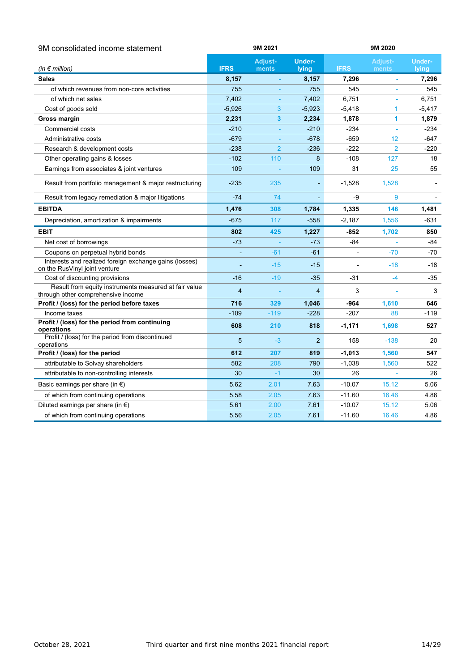| 9M consolidated income statement                                                            | 9M 2021        |                |                | 9M 2020        |                |               |  |
|---------------------------------------------------------------------------------------------|----------------|----------------|----------------|----------------|----------------|---------------|--|
|                                                                                             |                | Adjust-        | <b>Under-</b>  |                | <b>Adjust-</b> | <b>Under-</b> |  |
| (in $\notin$ million)                                                                       | <b>IFRS</b>    | ments          | lying          | <b>IFRS</b>    | ments          | lying         |  |
| <b>Sales</b>                                                                                | 8,157          |                | 8,157          | 7,296          |                | 7,296         |  |
| of which revenues from non-core activities                                                  | 755            |                | 755            | 545            |                | 545           |  |
| of which net sales                                                                          | 7,402          |                | 7,402          | 6,751          |                | 6,751         |  |
| Cost of goods sold                                                                          | $-5,926$       | 3              | $-5,923$       | $-5,418$       | 1              | $-5,417$      |  |
| Gross margin                                                                                | 2,231          | $\mathbf{3}$   | 2,234          | 1,878          | 1              | 1,879         |  |
| <b>Commercial costs</b>                                                                     | $-210$         |                | $-210$         | $-234$         |                | $-234$        |  |
| Administrative costs                                                                        | $-679$         |                | $-678$         | $-659$         | 12             | $-647$        |  |
| Research & development costs                                                                | $-238$         | $\overline{2}$ | $-236$         | $-222$         | $\overline{2}$ | $-220$        |  |
| Other operating gains & losses                                                              | $-102$         | 110            | 8              | $-108$         | 127            | 18            |  |
| Earnings from associates & joint ventures                                                   | 109            |                | 109            | 31             | 25             | 55            |  |
| Result from portfolio management & major restructuring                                      | $-235$         | 235            | ٠              | $-1,528$       | 1,528          |               |  |
| Result from legacy remediation & major litigations                                          | $-74$          | 74             | L,             | -9             | 9              |               |  |
| <b>EBITDA</b>                                                                               | 1,476          | 308            | 1,784          | 1,335          | 146            | 1,481         |  |
| Depreciation, amortization & impairments                                                    | $-675$         | 117            | $-558$         | $-2,187$       | 1,556          | -631          |  |
| <b>EBIT</b>                                                                                 | 802            | 425            | 1,227          | -852           | 1,702          | 850           |  |
| Net cost of borrowings                                                                      | $-73$          |                | $-73$          | $-84$          |                | -84           |  |
| Coupons on perpetual hybrid bonds                                                           |                | $-61$          | $-61$          | $\overline{a}$ | $-70$          | $-70$         |  |
| Interests and realized foreign exchange gains (losses)<br>on the RusVinyl joint venture     |                | $-15$          | $-15$          |                | $-18$          | -18           |  |
| Cost of discounting provisions                                                              | $-16$          | $-19$          | $-35$          | $-31$          | $-4$           | $-35$         |  |
| Result from equity instruments measured at fair value<br>through other comprehensive income | $\overline{4}$ |                | 4              | 3              |                | 3             |  |
| Profit / (loss) for the period before taxes                                                 | 716            | 329            | 1,046          | -964           | 1,610          | 646           |  |
| Income taxes                                                                                | $-109$         | $-119$         | $-228$         | -207           | 88             | -119          |  |
| Profit / (loss) for the period from continuing<br>operations                                | 608            | 210            | 818            | $-1,171$       | 1,698          | 527           |  |
| Profit / (loss) for the period from discontinued<br>operations                              | 5              | $-3$           | $\overline{2}$ | 158            | $-138$         | 20            |  |
| Profit / (loss) for the period                                                              | 612            | 207            | 819            | $-1,013$       | 1,560          | 547           |  |
| attributable to Solvay shareholders                                                         | 582            | 208            | 790            | $-1,038$       | 1,560          | 522           |  |
| attributable to non-controlling interests                                                   | 30             | $-1$           | 30             | 26             |                | 26            |  |
| Basic earnings per share (in $\epsilon$ )                                                   | 5.62           | 2.01           | 7.63           | $-10.07$       | 15.12          | 5.06          |  |
| of which from continuing operations                                                         | 5.58           | 2.05           | 7.63           | $-11.60$       | 16.46          | 4.86          |  |
| Diluted earnings per share (in $\epsilon$ )                                                 | 5.61           | 2.00           | 7.61           | $-10.07$       | 15.12          | 5.06          |  |
| of which from continuing operations                                                         | 5.56           | 2.05           | 7.61           | $-11.60$       | 16.46          | 4.86          |  |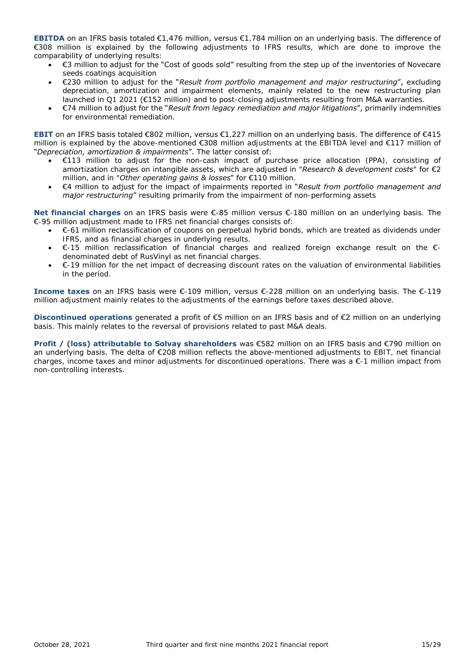**EBITDA** on an IFRS basis totaled €1,476 million, versus €1,784 million on an underlying basis. The difference of €308 million is explained by the following adjustments to IFRS results, which are done to improve the comparability of underlying results:

- €3 million to adjust for the "Cost of goods sold" resulting from the step up of the inventories of Novecare seeds coatings acquisition
- €230 million to adjust for the "*Result from portfolio management and major restructuring*", excluding depreciation, amortization and impairment elements, mainly related to the new restructuring plan launched in Q1 2021 (€152 million) and to post-closing adjustments resulting from M&A warranties.
- €74 million to adjust for the "*Result from legacy remediation and major litigations*", primarily indemnities for environmental remediation.

**EBIT** on an IFRS basis totaled €802 million, versus €1,227 million on an underlying basis. The difference of €415 million is explained by the above-mentioned €308 million adjustments at the EBITDA level and €117 million of "*Depreciation, amortization & impairments*". The latter consist of:

- €113 million to adjust for the non-cash impact of purchase price allocation (PPA), consisting of amortization charges on intangible assets, which are adjusted in "*Research & development costs*" for €2 million, and in "*Other operating gains & losses*" for €110 million.
- €4 million to adjust for the impact of impairments reported in "*Result from portfolio management and major restructuring*" resulting primarily from the impairment of non-performing assets

**Net financial charges** on an IFRS basis were €-85 million versus €-180 million on an underlying basis. The €-95 million adjustment made to IFRS net financial charges consists of:

- €-61 million reclassification of coupons on perpetual hybrid bonds, which are treated as dividends under IFRS, and as financial charges in underlying results.
- €-15 million reclassification of financial charges and realized foreign exchange result on the  $\epsilon$ denominated debt of RusVinyl as net financial charges.
- €-19 million for the net impact of decreasing discount rates on the valuation of environmental liabilities in the period.

**Income taxes** on an IFRS basis were €-109 million, versus €-228 million on an underlying basis. The €-119 million adjustment mainly relates to the adjustments of the earnings before taxes described above.

**Discontinued operations** generated a profit of €5 million on an IFRS basis and of €2 million on an underlying basis. This mainly relates to the reversal of provisions related to past M&A deals.

**Profit / (loss) attributable to Solvay shareholders** was €582 million on an IFRS basis and €790 million on an underlying basis. The delta of €208 million reflects the above-mentioned adjustments to EBIT, net financial charges, income taxes and minor adjustments for discontinued operations. There was  $a \epsilon$ -1 million impact from non-controlling interests.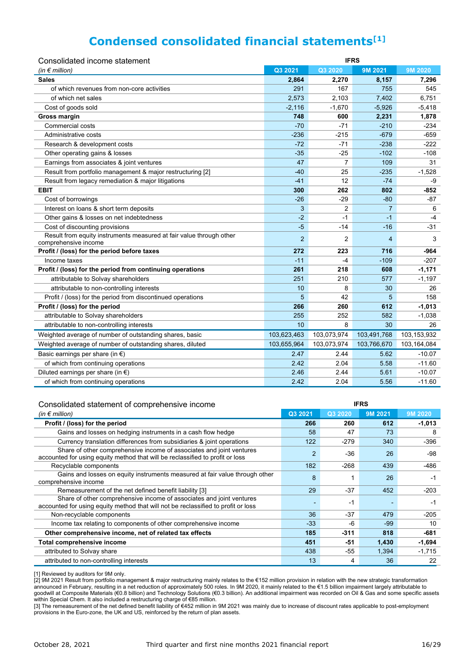# **Condensed consolidated financial statements[1]**

| Q3 2021<br>Q3 2020<br>9M 2021<br>9M 2020<br>(in $\notin$ million)<br><b>Sales</b><br>2,864<br>2,270<br>8,157<br>7,296<br>of which revenues from non-core activities<br>291<br>167<br>755<br>545<br>of which net sales<br>2,573<br>2,103<br>7,402<br>6,751<br>$-2,116$<br>$-1,670$<br>$-5,926$<br>Cost of goods sold<br>$-5,418$<br><b>Gross margin</b><br>748<br>600<br>2,231<br>1,878<br>Commercial costs<br>$-70$<br>$-71$<br>$-210$<br>$-234$<br>Administrative costs<br>$-236$<br>$-215$<br>$-679$<br>$-659$<br>Research & development costs<br>$-72$<br>$-71$<br>$-238$<br>$-222$<br>$-25$<br>Other operating gains & losses<br>$-35$<br>$-102$<br>$-108$<br>Earnings from associates & joint ventures<br>47<br>7<br>109<br>31<br>Result from portfolio management & major restructuring [2]<br>$-40$<br>25<br>$-235$<br>$-1,528$<br>Result from legacy remediation & major litigations<br>$-41$<br>12<br>$-74$<br>-9<br><b>EBIT</b><br>300<br>262<br>802<br>-852<br>Cost of borrowings<br>$-26$<br>$-29$<br>$-80$<br>$-87$<br>3<br>2<br>Interest on loans & short term deposits<br>$\overline{7}$<br>6<br>$-2$<br>Other gains & losses on net indebtedness<br>$-1$<br>$-1$<br>$-4$<br>Cost of discounting provisions<br>$-5$<br>$-14$<br>$-31$<br>$-16$<br>Result from equity instruments measured at fair value through other<br>$\overline{2}$<br>$\overline{2}$<br>$\overline{4}$<br>3<br>comprehensive income<br>Profit / (loss) for the period before taxes<br>272<br>223<br>716<br>$-964$<br>$-11$<br>-4<br>$-109$<br>$-207$<br>Income taxes<br>Profit / (loss) for the period from continuing operations<br>218<br>608<br>$-1,171$<br>261<br>attributable to Solvay shareholders<br>251<br>210<br>577<br>$-1,197$<br>attributable to non-controlling interests<br>10<br>8<br>30<br>26<br>Profit / (loss) for the period from discontinued operations<br>42<br>5<br>5<br>158<br>Profit / (loss) for the period<br>266<br>260<br>612<br>$-1,013$<br>252<br>attributable to Solvay shareholders<br>255<br>582<br>$-1,038$<br>10<br>8<br>30<br>attributable to non-controlling interests<br>26<br>Weighted average of number of outstanding shares, basic<br>103,623,463<br>103,073,974<br>103,491,768<br>103,153,932<br>Weighted average of number of outstanding shares, diluted<br>103,655,964<br>103,073,974<br>103,766,670<br>103,164,084<br>Basic earnings per share (in $\epsilon$ )<br>2.47<br>2.44<br>5.62<br>$-10.07$<br>of which from continuing operations<br>2.42<br>2.04<br>5.58<br>$-11.60$<br>Diluted earnings per share (in $\epsilon$ )<br>2.46<br>2.44<br>$-10.07$<br>5.61<br>of which from continuing operations<br>2.42<br>2.04<br>$-11.60$<br>5.56 | Consolidated income statement | <b>IFRS</b> |  |  |  |  |  |  |
|-----------------------------------------------------------------------------------------------------------------------------------------------------------------------------------------------------------------------------------------------------------------------------------------------------------------------------------------------------------------------------------------------------------------------------------------------------------------------------------------------------------------------------------------------------------------------------------------------------------------------------------------------------------------------------------------------------------------------------------------------------------------------------------------------------------------------------------------------------------------------------------------------------------------------------------------------------------------------------------------------------------------------------------------------------------------------------------------------------------------------------------------------------------------------------------------------------------------------------------------------------------------------------------------------------------------------------------------------------------------------------------------------------------------------------------------------------------------------------------------------------------------------------------------------------------------------------------------------------------------------------------------------------------------------------------------------------------------------------------------------------------------------------------------------------------------------------------------------------------------------------------------------------------------------------------------------------------------------------------------------------------------------------------------------------------------------------------------------------------------------------------------------------------------------------------------------------------------------------------------------------------------------------------------------------------------------------------------------------------------------------------------------------------------------------------------------------------------------------------------------------------------------------------------------------------------------------------------------------------------------------------------------------------------------------------|-------------------------------|-------------|--|--|--|--|--|--|
|                                                                                                                                                                                                                                                                                                                                                                                                                                                                                                                                                                                                                                                                                                                                                                                                                                                                                                                                                                                                                                                                                                                                                                                                                                                                                                                                                                                                                                                                                                                                                                                                                                                                                                                                                                                                                                                                                                                                                                                                                                                                                                                                                                                                                                                                                                                                                                                                                                                                                                                                                                                                                                                                                   |                               |             |  |  |  |  |  |  |
|                                                                                                                                                                                                                                                                                                                                                                                                                                                                                                                                                                                                                                                                                                                                                                                                                                                                                                                                                                                                                                                                                                                                                                                                                                                                                                                                                                                                                                                                                                                                                                                                                                                                                                                                                                                                                                                                                                                                                                                                                                                                                                                                                                                                                                                                                                                                                                                                                                                                                                                                                                                                                                                                                   |                               |             |  |  |  |  |  |  |
|                                                                                                                                                                                                                                                                                                                                                                                                                                                                                                                                                                                                                                                                                                                                                                                                                                                                                                                                                                                                                                                                                                                                                                                                                                                                                                                                                                                                                                                                                                                                                                                                                                                                                                                                                                                                                                                                                                                                                                                                                                                                                                                                                                                                                                                                                                                                                                                                                                                                                                                                                                                                                                                                                   |                               |             |  |  |  |  |  |  |
|                                                                                                                                                                                                                                                                                                                                                                                                                                                                                                                                                                                                                                                                                                                                                                                                                                                                                                                                                                                                                                                                                                                                                                                                                                                                                                                                                                                                                                                                                                                                                                                                                                                                                                                                                                                                                                                                                                                                                                                                                                                                                                                                                                                                                                                                                                                                                                                                                                                                                                                                                                                                                                                                                   |                               |             |  |  |  |  |  |  |
|                                                                                                                                                                                                                                                                                                                                                                                                                                                                                                                                                                                                                                                                                                                                                                                                                                                                                                                                                                                                                                                                                                                                                                                                                                                                                                                                                                                                                                                                                                                                                                                                                                                                                                                                                                                                                                                                                                                                                                                                                                                                                                                                                                                                                                                                                                                                                                                                                                                                                                                                                                                                                                                                                   |                               |             |  |  |  |  |  |  |
|                                                                                                                                                                                                                                                                                                                                                                                                                                                                                                                                                                                                                                                                                                                                                                                                                                                                                                                                                                                                                                                                                                                                                                                                                                                                                                                                                                                                                                                                                                                                                                                                                                                                                                                                                                                                                                                                                                                                                                                                                                                                                                                                                                                                                                                                                                                                                                                                                                                                                                                                                                                                                                                                                   |                               |             |  |  |  |  |  |  |
|                                                                                                                                                                                                                                                                                                                                                                                                                                                                                                                                                                                                                                                                                                                                                                                                                                                                                                                                                                                                                                                                                                                                                                                                                                                                                                                                                                                                                                                                                                                                                                                                                                                                                                                                                                                                                                                                                                                                                                                                                                                                                                                                                                                                                                                                                                                                                                                                                                                                                                                                                                                                                                                                                   |                               |             |  |  |  |  |  |  |
|                                                                                                                                                                                                                                                                                                                                                                                                                                                                                                                                                                                                                                                                                                                                                                                                                                                                                                                                                                                                                                                                                                                                                                                                                                                                                                                                                                                                                                                                                                                                                                                                                                                                                                                                                                                                                                                                                                                                                                                                                                                                                                                                                                                                                                                                                                                                                                                                                                                                                                                                                                                                                                                                                   |                               |             |  |  |  |  |  |  |
|                                                                                                                                                                                                                                                                                                                                                                                                                                                                                                                                                                                                                                                                                                                                                                                                                                                                                                                                                                                                                                                                                                                                                                                                                                                                                                                                                                                                                                                                                                                                                                                                                                                                                                                                                                                                                                                                                                                                                                                                                                                                                                                                                                                                                                                                                                                                                                                                                                                                                                                                                                                                                                                                                   |                               |             |  |  |  |  |  |  |
|                                                                                                                                                                                                                                                                                                                                                                                                                                                                                                                                                                                                                                                                                                                                                                                                                                                                                                                                                                                                                                                                                                                                                                                                                                                                                                                                                                                                                                                                                                                                                                                                                                                                                                                                                                                                                                                                                                                                                                                                                                                                                                                                                                                                                                                                                                                                                                                                                                                                                                                                                                                                                                                                                   |                               |             |  |  |  |  |  |  |
|                                                                                                                                                                                                                                                                                                                                                                                                                                                                                                                                                                                                                                                                                                                                                                                                                                                                                                                                                                                                                                                                                                                                                                                                                                                                                                                                                                                                                                                                                                                                                                                                                                                                                                                                                                                                                                                                                                                                                                                                                                                                                                                                                                                                                                                                                                                                                                                                                                                                                                                                                                                                                                                                                   |                               |             |  |  |  |  |  |  |
|                                                                                                                                                                                                                                                                                                                                                                                                                                                                                                                                                                                                                                                                                                                                                                                                                                                                                                                                                                                                                                                                                                                                                                                                                                                                                                                                                                                                                                                                                                                                                                                                                                                                                                                                                                                                                                                                                                                                                                                                                                                                                                                                                                                                                                                                                                                                                                                                                                                                                                                                                                                                                                                                                   |                               |             |  |  |  |  |  |  |
|                                                                                                                                                                                                                                                                                                                                                                                                                                                                                                                                                                                                                                                                                                                                                                                                                                                                                                                                                                                                                                                                                                                                                                                                                                                                                                                                                                                                                                                                                                                                                                                                                                                                                                                                                                                                                                                                                                                                                                                                                                                                                                                                                                                                                                                                                                                                                                                                                                                                                                                                                                                                                                                                                   |                               |             |  |  |  |  |  |  |
|                                                                                                                                                                                                                                                                                                                                                                                                                                                                                                                                                                                                                                                                                                                                                                                                                                                                                                                                                                                                                                                                                                                                                                                                                                                                                                                                                                                                                                                                                                                                                                                                                                                                                                                                                                                                                                                                                                                                                                                                                                                                                                                                                                                                                                                                                                                                                                                                                                                                                                                                                                                                                                                                                   |                               |             |  |  |  |  |  |  |
|                                                                                                                                                                                                                                                                                                                                                                                                                                                                                                                                                                                                                                                                                                                                                                                                                                                                                                                                                                                                                                                                                                                                                                                                                                                                                                                                                                                                                                                                                                                                                                                                                                                                                                                                                                                                                                                                                                                                                                                                                                                                                                                                                                                                                                                                                                                                                                                                                                                                                                                                                                                                                                                                                   |                               |             |  |  |  |  |  |  |
|                                                                                                                                                                                                                                                                                                                                                                                                                                                                                                                                                                                                                                                                                                                                                                                                                                                                                                                                                                                                                                                                                                                                                                                                                                                                                                                                                                                                                                                                                                                                                                                                                                                                                                                                                                                                                                                                                                                                                                                                                                                                                                                                                                                                                                                                                                                                                                                                                                                                                                                                                                                                                                                                                   |                               |             |  |  |  |  |  |  |
|                                                                                                                                                                                                                                                                                                                                                                                                                                                                                                                                                                                                                                                                                                                                                                                                                                                                                                                                                                                                                                                                                                                                                                                                                                                                                                                                                                                                                                                                                                                                                                                                                                                                                                                                                                                                                                                                                                                                                                                                                                                                                                                                                                                                                                                                                                                                                                                                                                                                                                                                                                                                                                                                                   |                               |             |  |  |  |  |  |  |
|                                                                                                                                                                                                                                                                                                                                                                                                                                                                                                                                                                                                                                                                                                                                                                                                                                                                                                                                                                                                                                                                                                                                                                                                                                                                                                                                                                                                                                                                                                                                                                                                                                                                                                                                                                                                                                                                                                                                                                                                                                                                                                                                                                                                                                                                                                                                                                                                                                                                                                                                                                                                                                                                                   |                               |             |  |  |  |  |  |  |
|                                                                                                                                                                                                                                                                                                                                                                                                                                                                                                                                                                                                                                                                                                                                                                                                                                                                                                                                                                                                                                                                                                                                                                                                                                                                                                                                                                                                                                                                                                                                                                                                                                                                                                                                                                                                                                                                                                                                                                                                                                                                                                                                                                                                                                                                                                                                                                                                                                                                                                                                                                                                                                                                                   |                               |             |  |  |  |  |  |  |
|                                                                                                                                                                                                                                                                                                                                                                                                                                                                                                                                                                                                                                                                                                                                                                                                                                                                                                                                                                                                                                                                                                                                                                                                                                                                                                                                                                                                                                                                                                                                                                                                                                                                                                                                                                                                                                                                                                                                                                                                                                                                                                                                                                                                                                                                                                                                                                                                                                                                                                                                                                                                                                                                                   |                               |             |  |  |  |  |  |  |
|                                                                                                                                                                                                                                                                                                                                                                                                                                                                                                                                                                                                                                                                                                                                                                                                                                                                                                                                                                                                                                                                                                                                                                                                                                                                                                                                                                                                                                                                                                                                                                                                                                                                                                                                                                                                                                                                                                                                                                                                                                                                                                                                                                                                                                                                                                                                                                                                                                                                                                                                                                                                                                                                                   |                               |             |  |  |  |  |  |  |
|                                                                                                                                                                                                                                                                                                                                                                                                                                                                                                                                                                                                                                                                                                                                                                                                                                                                                                                                                                                                                                                                                                                                                                                                                                                                                                                                                                                                                                                                                                                                                                                                                                                                                                                                                                                                                                                                                                                                                                                                                                                                                                                                                                                                                                                                                                                                                                                                                                                                                                                                                                                                                                                                                   |                               |             |  |  |  |  |  |  |
|                                                                                                                                                                                                                                                                                                                                                                                                                                                                                                                                                                                                                                                                                                                                                                                                                                                                                                                                                                                                                                                                                                                                                                                                                                                                                                                                                                                                                                                                                                                                                                                                                                                                                                                                                                                                                                                                                                                                                                                                                                                                                                                                                                                                                                                                                                                                                                                                                                                                                                                                                                                                                                                                                   |                               |             |  |  |  |  |  |  |
|                                                                                                                                                                                                                                                                                                                                                                                                                                                                                                                                                                                                                                                                                                                                                                                                                                                                                                                                                                                                                                                                                                                                                                                                                                                                                                                                                                                                                                                                                                                                                                                                                                                                                                                                                                                                                                                                                                                                                                                                                                                                                                                                                                                                                                                                                                                                                                                                                                                                                                                                                                                                                                                                                   |                               |             |  |  |  |  |  |  |
|                                                                                                                                                                                                                                                                                                                                                                                                                                                                                                                                                                                                                                                                                                                                                                                                                                                                                                                                                                                                                                                                                                                                                                                                                                                                                                                                                                                                                                                                                                                                                                                                                                                                                                                                                                                                                                                                                                                                                                                                                                                                                                                                                                                                                                                                                                                                                                                                                                                                                                                                                                                                                                                                                   |                               |             |  |  |  |  |  |  |
|                                                                                                                                                                                                                                                                                                                                                                                                                                                                                                                                                                                                                                                                                                                                                                                                                                                                                                                                                                                                                                                                                                                                                                                                                                                                                                                                                                                                                                                                                                                                                                                                                                                                                                                                                                                                                                                                                                                                                                                                                                                                                                                                                                                                                                                                                                                                                                                                                                                                                                                                                                                                                                                                                   |                               |             |  |  |  |  |  |  |
|                                                                                                                                                                                                                                                                                                                                                                                                                                                                                                                                                                                                                                                                                                                                                                                                                                                                                                                                                                                                                                                                                                                                                                                                                                                                                                                                                                                                                                                                                                                                                                                                                                                                                                                                                                                                                                                                                                                                                                                                                                                                                                                                                                                                                                                                                                                                                                                                                                                                                                                                                                                                                                                                                   |                               |             |  |  |  |  |  |  |
|                                                                                                                                                                                                                                                                                                                                                                                                                                                                                                                                                                                                                                                                                                                                                                                                                                                                                                                                                                                                                                                                                                                                                                                                                                                                                                                                                                                                                                                                                                                                                                                                                                                                                                                                                                                                                                                                                                                                                                                                                                                                                                                                                                                                                                                                                                                                                                                                                                                                                                                                                                                                                                                                                   |                               |             |  |  |  |  |  |  |
|                                                                                                                                                                                                                                                                                                                                                                                                                                                                                                                                                                                                                                                                                                                                                                                                                                                                                                                                                                                                                                                                                                                                                                                                                                                                                                                                                                                                                                                                                                                                                                                                                                                                                                                                                                                                                                                                                                                                                                                                                                                                                                                                                                                                                                                                                                                                                                                                                                                                                                                                                                                                                                                                                   |                               |             |  |  |  |  |  |  |
|                                                                                                                                                                                                                                                                                                                                                                                                                                                                                                                                                                                                                                                                                                                                                                                                                                                                                                                                                                                                                                                                                                                                                                                                                                                                                                                                                                                                                                                                                                                                                                                                                                                                                                                                                                                                                                                                                                                                                                                                                                                                                                                                                                                                                                                                                                                                                                                                                                                                                                                                                                                                                                                                                   |                               |             |  |  |  |  |  |  |
|                                                                                                                                                                                                                                                                                                                                                                                                                                                                                                                                                                                                                                                                                                                                                                                                                                                                                                                                                                                                                                                                                                                                                                                                                                                                                                                                                                                                                                                                                                                                                                                                                                                                                                                                                                                                                                                                                                                                                                                                                                                                                                                                                                                                                                                                                                                                                                                                                                                                                                                                                                                                                                                                                   |                               |             |  |  |  |  |  |  |
|                                                                                                                                                                                                                                                                                                                                                                                                                                                                                                                                                                                                                                                                                                                                                                                                                                                                                                                                                                                                                                                                                                                                                                                                                                                                                                                                                                                                                                                                                                                                                                                                                                                                                                                                                                                                                                                                                                                                                                                                                                                                                                                                                                                                                                                                                                                                                                                                                                                                                                                                                                                                                                                                                   |                               |             |  |  |  |  |  |  |
|                                                                                                                                                                                                                                                                                                                                                                                                                                                                                                                                                                                                                                                                                                                                                                                                                                                                                                                                                                                                                                                                                                                                                                                                                                                                                                                                                                                                                                                                                                                                                                                                                                                                                                                                                                                                                                                                                                                                                                                                                                                                                                                                                                                                                                                                                                                                                                                                                                                                                                                                                                                                                                                                                   |                               |             |  |  |  |  |  |  |
|                                                                                                                                                                                                                                                                                                                                                                                                                                                                                                                                                                                                                                                                                                                                                                                                                                                                                                                                                                                                                                                                                                                                                                                                                                                                                                                                                                                                                                                                                                                                                                                                                                                                                                                                                                                                                                                                                                                                                                                                                                                                                                                                                                                                                                                                                                                                                                                                                                                                                                                                                                                                                                                                                   |                               |             |  |  |  |  |  |  |

#### Consolidated statement of comprehensive income **IFRS**

| (in $\epsilon$ million)                                                                                                                                   | Q3 2021 | Q3 2020 | 9M 2021 | 9M 2020  |
|-----------------------------------------------------------------------------------------------------------------------------------------------------------|---------|---------|---------|----------|
| Profit / (loss) for the period                                                                                                                            | 266     | 260     | 612     | $-1,013$ |
| Gains and losses on hedging instruments in a cash flow hedge                                                                                              | 58      | 47      | 73      | 8        |
| Currency translation differences from subsidiaries & joint operations                                                                                     | 122     | $-279$  | 340     | $-396$   |
| Share of other comprehensive income of associates and joint ventures<br>accounted for using equity method that will be reclassified to profit or loss     | 2       | $-36$   | 26      | -98      |
| Recyclable components                                                                                                                                     | 182     | $-268$  | 439     | -486     |
| Gains and losses on equity instruments measured at fair value through other<br>comprehensive income                                                       | 8       |         | 26      | -1       |
| Remeasurement of the net defined benefit liability [3]                                                                                                    | 29      | $-37$   | 452     | $-203$   |
| Share of other comprehensive income of associates and joint ventures<br>accounted for using equity method that will not be reclassified to profit or loss |         | -1      |         | -1       |
| Non-recyclable components                                                                                                                                 | 36      | $-37$   | 479     | $-205$   |
| Income tax relating to components of other comprehensive income                                                                                           | $-33$   | -6      | $-99$   | 10       |
| Other comprehensive income, net of related tax effects                                                                                                    | 185     | $-311$  | 818     | -681     |
| Total comprehensive income                                                                                                                                | 451     | $-51$   | 1,430   | $-1,694$ |
| attributed to Solvay share                                                                                                                                | 438     | -55     | 1.394   | $-1,715$ |
| attributed to non-controlling interests                                                                                                                   | 13      | 4       | 36      | 22       |

[1] Reviewed by auditors for 9M only.

[2] 9M 2021 Result from portfolio management & major restructuring mainly relates to the €152 million provision in relation with the new strategic transformation announced in February, resulting in a net reduction of approximately 500 roles. In 9M 2020, it mainly related to the €1.5 billion impairment largely attributable to goodwill at Composite Materials (€0.8 billion) and Technology Solutions (€0.3 billion). An additional impairment was recorded on Oil & Gas and some specific assets within Special Chem. It also included a restructuring charge of €85 million.

[3] The remeasurement of the net defined benefit liability of €452 million in 9M 2021 was mainly due to increase of discount rates applicable to post-employment provisions in the Euro-zone, the UK and US, reinforced by the return of plan assets.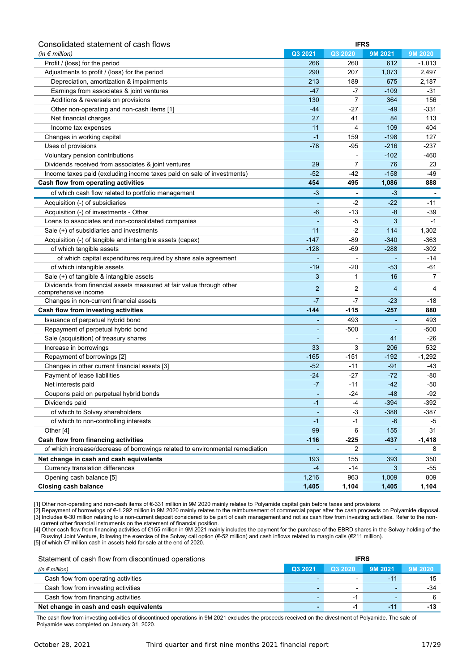| Consolidated statement of cash flows                                          | <b>IFRS</b> |                          |         |          |  |  |
|-------------------------------------------------------------------------------|-------------|--------------------------|---------|----------|--|--|
| (in $\epsilon$ million)                                                       | Q3 2021     | Q3 2020                  | 9M 2021 | 9M 2020  |  |  |
| Profit / (loss) for the period                                                | 266         | 260                      | 612     | $-1,013$ |  |  |
| Adjustments to profit / (loss) for the period                                 | 290         | 207                      | 1,073   | 2,497    |  |  |
| Depreciation, amortization & impairments                                      | 213         | 189                      | 675     | 2,187    |  |  |
| Earnings from associates & joint ventures                                     | $-47$       | -7                       | $-109$  | -31      |  |  |
| Additions & reversals on provisions                                           | 130         | 7                        | 364     | 156      |  |  |
| Other non-operating and non-cash items [1]                                    | $-44$       | -27                      | $-49$   | -331     |  |  |
| Net financial charges                                                         | 27          | 41                       | 84      | 113      |  |  |
| Income tax expenses                                                           | 11          | 4                        | 109     | 404      |  |  |
| Changes in working capital                                                    | $-1$        | 159                      | $-198$  | 127      |  |  |
| Uses of provisions                                                            | $-78$       | $-95$                    | $-216$  | -237     |  |  |
| Voluntary pension contributions                                               |             |                          | $-102$  | -460     |  |  |
| Dividends received from associates & joint ventures                           | 29          | 7                        | 76      | 23       |  |  |
| Income taxes paid (excluding income taxes paid on sale of investments)        | $-52$       | -42                      | $-158$  | -49      |  |  |
| Cash flow from operating activities                                           | 454         | 495                      | 1,086   | 888      |  |  |
| of which cash flow related to portfolio management                            | -3          |                          | -3      |          |  |  |
| Acquisition (-) of subsidiaries                                               |             | $-2$                     | $-22$   | $-11$    |  |  |
| Acquisition (-) of investments - Other                                        | -6          | -13                      | $-8$    | $-39$    |  |  |
| Loans to associates and non-consolidated companies                            |             | $-5$                     | 3       | $-1$     |  |  |
| Sale (+) of subsidiaries and investments                                      | 11          | $-2$                     | 114     | 1,302    |  |  |
| Acquisition (-) of tangible and intangible assets (capex)                     | $-147$      | -89                      | $-340$  | $-363$   |  |  |
| of which tangible assets                                                      | $-128$      | $-69$                    | $-288$  | $-302$   |  |  |
| of which capital expenditures required by share sale agreement                |             | $\overline{\phantom{a}}$ |         | -14      |  |  |
| of which intangible assets                                                    | $-19$       | $-20$                    | $-53$   | -61      |  |  |
| Sale (+) of tangible & intangible assets                                      | 3           | 1                        | 16      | 7        |  |  |
| Dividends from financial assets measured at fair value through other          |             |                          |         |          |  |  |
| comprehensive income                                                          | 2           | $\overline{2}$           | 4       | 4        |  |  |
| Changes in non-current financial assets                                       | -7          | -7                       | $-23$   | $-18$    |  |  |
| Cash flow from investing activities                                           | $-144$      | $-115$                   | $-257$  | 880      |  |  |
| Issuance of perpetual hybrid bond                                             | ٠           | 493                      | ÷       | 493      |  |  |
| Repayment of perpetual hybrid bond                                            |             | $-500$                   |         | -500     |  |  |
| Sale (acquisition) of treasury shares                                         |             |                          | 41      | $-26$    |  |  |
| Increase in borrowings                                                        | 33          | 3                        | 206     | 532      |  |  |
| Repayment of borrowings [2]                                                   | $-165$      | $-151$                   | $-192$  | $-1,292$ |  |  |
| Changes in other current financial assets [3]                                 | $-52$       | $-11$                    | $-91$   | -43      |  |  |
| Payment of lease liabilities                                                  | $-24$       | $-27$                    | $-72$   | -80      |  |  |
| Net interests paid                                                            | -7          | $-11$                    | $-42$   | -50      |  |  |
| Coupons paid on perpetual hybrid bonds                                        |             | -24                      | $-48$   | -92      |  |  |
| Dividends paid                                                                | -1          | $-4$                     | $-394$  | $-392$   |  |  |
| of which to Solvay shareholders                                               |             | $-3$                     | $-388$  | $-387$   |  |  |
| of which to non-controlling interests                                         | -1          | $-1$                     | -6      | -5       |  |  |
| Other [4]                                                                     | 99          | 6                        | 155     | 31       |  |  |
| Cash flow from financing activities                                           | $-116$      | $-225$                   | $-437$  | -1,418   |  |  |
| of which increase/decrease of borrowings related to environmental remediation |             | 2                        |         | 8        |  |  |
| Net change in cash and cash equivalents                                       | 193         | 155                      | 393     | 350      |  |  |
| Currency translation differences                                              | $-4$        | $-14$                    | 3       | $-55$    |  |  |
| Opening cash balance [5]                                                      | 1,216       | 963                      | 1,009   | 809      |  |  |
| <b>Closing cash balance</b>                                                   | 1,405       | 1,104                    | 1,405   | 1,104    |  |  |

[1] Other non-operating and non-cash items of €-331 million in 9M 2020 mainly relates to Polyamide capital gain before taxes and provisions

[2] Repayment of borrowings of €-1,292 million in 9M 2020 mainly relates to the reimbursement of commercial paper after the cash proceeds on Polyamide disposal. [3] Includes €-30 million relating to a non-current deposit considered to be part of cash management and not as cash flow from investing activities. Refer to the noncurrent other financial instruments on the statement of financial position.

[4] Other cash flow from financing activities of €155 million in 9M 2021 mainly includes the payment for the purchase of the EBRD shares in the Solvay holding of the Rusvinyl Joint Venture, following the exercise of the Solvay call option (€-52 million) and cash inflows related to margin calls (€211 million). [5] of which €7 million cash in assets held for sale at the end of 2020.

| Statement of cash flow from discontinued operations<br><b>IFRS</b> |         |                          |                          |         |
|--------------------------------------------------------------------|---------|--------------------------|--------------------------|---------|
| (in $\epsilon$ million)                                            | Q3 2021 | Q3 2020                  | 9M 2021                  | 9M 2020 |
| Cash flow from operating activities                                |         |                          | $-11$                    | 15      |
| Cash flow from investing activities                                |         |                          | $\overline{\phantom{a}}$ | $-34$   |
| Cash flow from financing activities                                |         | $\overline{\phantom{0}}$ | -                        |         |
| Net change in cash and cash equivalents                            |         |                          | -11                      | $-13$   |

The cash flow from investing activities of discontinued operations in 9M 2021 excludes the proceeds received on the divestment of Polyamide. The sale of Polyamide was completed on January 31, 2020.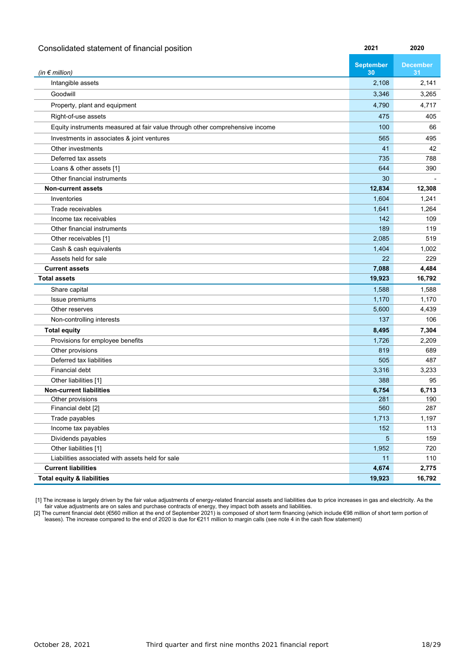| Consolidated statement of financial position                                 | 2021                   | 2020                  |
|------------------------------------------------------------------------------|------------------------|-----------------------|
| (in $\epsilon$ million)                                                      | <b>September</b><br>30 | <b>December</b><br>31 |
| Intangible assets                                                            | 2,108                  | 2,141                 |
| Goodwill                                                                     | 3,346                  | 3,265                 |
| Property, plant and equipment                                                | 4,790                  | 4,717                 |
| Right-of-use assets                                                          | 475                    | 405                   |
| Equity instruments measured at fair value through other comprehensive income | 100                    | 66                    |
| Investments in associates & joint ventures                                   | 565                    | 495                   |
| Other investments                                                            | 41                     | 42                    |
| Deferred tax assets                                                          | 735                    | 788                   |
| Loans & other assets [1]                                                     | 644                    | 390                   |
| Other financial instruments                                                  | 30                     |                       |
| <b>Non-current assets</b>                                                    | 12,834                 | 12,308                |
| Inventories                                                                  | 1,604                  | 1,241                 |
| Trade receivables                                                            | 1,641                  | 1,264                 |
| Income tax receivables                                                       | 142                    | 109                   |
| Other financial instruments                                                  | 189                    | 119                   |
| Other receivables [1]                                                        | 2,085                  | 519                   |
| Cash & cash equivalents                                                      | 1,404                  | 1,002                 |
| Assets held for sale                                                         | 22                     | 229                   |
| <b>Current assets</b>                                                        | 7,088                  | 4,484                 |
| <b>Total assets</b>                                                          | 19,923                 | 16,792                |
| Share capital                                                                | 1,588                  | 1,588                 |
| Issue premiums                                                               | 1,170                  | 1,170                 |
| Other reserves                                                               | 5,600                  | 4,439                 |
| Non-controlling interests                                                    | 137                    | 106                   |
| <b>Total equity</b>                                                          | 8,495                  | 7,304                 |
| Provisions for employee benefits                                             | 1,726                  | 2,209                 |
| Other provisions                                                             | 819                    | 689                   |
| Deferred tax liabilities                                                     | 505                    | 487                   |
| <b>Financial debt</b>                                                        | 3,316                  | 3,233                 |
| Other liabilities [1]                                                        | 388                    | 95                    |
| <b>Non-current liabilities</b>                                               | 6,754                  | 6,713                 |
| Other provisions                                                             | 281                    | 190                   |
| Financial debt [2]                                                           | 560                    | 287                   |
| Trade payables                                                               | 1,713                  | 1,197                 |
| Income tax payables                                                          | 152                    | 113                   |
| Dividends payables                                                           | 5 <sup>5</sup>         | 159                   |
| Other liabilities [1]                                                        | 1,952                  | 720                   |
| Liabilities associated with assets held for sale                             | 11                     | 110                   |
| <b>Current liabilities</b>                                                   | 4,674                  | 2,775                 |
| <b>Total equity &amp; liabilities</b>                                        | 19,923                 | 16,792                |

[1] The increase is largely driven by the fair value adjustments of energy-related financial assets and liabilities due to price increases in gas and electricity. As the fair value adjustments are on sales and purchase contracts of energy, they impact both assets and liabilities.

[2] The current financial debt (€560 million at the end of September 2021) is composed of short term financing (which include €98 million of short term portion of leases). The increase compared to the end of 2020 is due for €211 million to margin calls (see note 4 in the cash flow statement)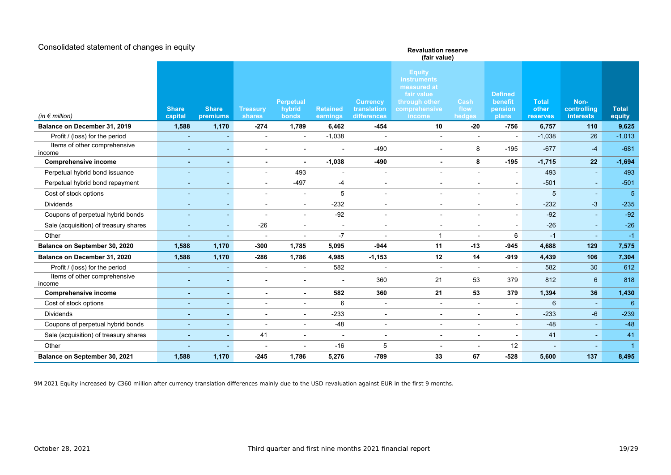| Consolidated statement of changes in equity | <b>Revaluation reserve</b><br>(fair value) |                          |                           |                                     |                             |                                               |                                                                                                              |                          |                                               |                                   |                                         |                        |
|---------------------------------------------|--------------------------------------------|--------------------------|---------------------------|-------------------------------------|-----------------------------|-----------------------------------------------|--------------------------------------------------------------------------------------------------------------|--------------------------|-----------------------------------------------|-----------------------------------|-----------------------------------------|------------------------|
| (in $\epsilon$ million)                     | <b>Share</b><br>capital                    | <b>Share</b><br>premiums | <b>Treasury</b><br>shares | <b>Perpetual</b><br>hybrid<br>bonds | <b>Retained</b><br>earnings | <b>Currency</b><br>translation<br>differences | <b>Equity</b><br><b>instruments</b><br>measured at<br>fair value<br>through other<br>comprehensive<br>income | Cash<br>flow<br>hedges   | <b>Defined</b><br>benefit<br>pension<br>plans | <b>Total</b><br>other<br>reserves | Non-<br>controlling<br><b>interests</b> | <b>Total</b><br>equity |
| Balance on December 31, 2019                | 1,588                                      | 1,170                    | $-274$                    | 1,789                               | 6,462                       | $-454$                                        | 10                                                                                                           | $-20$                    | $-756$                                        | 6,757                             | 110                                     | 9,625                  |
| Profit / (loss) for the period              | $\overline{\phantom{a}}$                   |                          | $\overline{\phantom{a}}$  |                                     | $-1,038$                    | $\overline{\phantom{a}}$                      | $\overline{\phantom{a}}$                                                                                     | $\overline{\phantom{a}}$ | $\overline{\phantom{a}}$                      | $-1,038$                          | 26                                      | $-1,013$               |
| Items of other comprehensive<br>income      |                                            |                          |                           |                                     |                             | $-490$                                        | $\overline{\phantom{0}}$                                                                                     | 8                        | $-195$                                        | $-677$                            | $-4$                                    | $-681$                 |
| <b>Comprehensive income</b>                 | ٠                                          |                          |                           |                                     | $-1,038$                    | $-490$                                        | $\blacksquare$                                                                                               | 8                        | $-195$                                        | $-1,715$                          | 22                                      | $-1,694$               |
| Perpetual hybrid bond issuance              | $\overline{\phantom{a}}$                   | $\overline{\phantom{a}}$ | $\blacksquare$            | 493                                 | $\overline{\phantom{a}}$    | $\overline{\phantom{a}}$                      | $\sim$                                                                                                       | $\overline{\phantom{a}}$ | $\overline{\phantom{a}}$                      | 493                               | $\blacksquare$                          | 493                    |
| Perpetual hybrid bond repayment             | $\overline{\phantom{a}}$                   |                          | $\overline{\phantom{a}}$  | $-497$                              | -4                          | $\overline{\phantom{a}}$                      | $\blacksquare$                                                                                               | $\blacksquare$           | $\overline{\phantom{a}}$                      | $-501$                            | $\blacksquare$                          | $-501$                 |
| Cost of stock options                       | $\overline{\phantom{a}}$                   | $\overline{\phantom{a}}$ | $\overline{\phantom{a}}$  | $\overline{\phantom{a}}$            | 5                           | $\overline{\phantom{a}}$                      | $\overline{\phantom{a}}$                                                                                     | $\overline{\phantom{a}}$ | $\overline{\phantom{a}}$                      | 5                                 | $\blacksquare$                          | 5                      |
| <b>Dividends</b>                            | $\sim$                                     |                          |                           |                                     | $-232$                      | $\blacksquare$                                | $\overline{\phantom{a}}$                                                                                     | $\blacksquare$           | $\overline{\phantom{a}}$                      | $-232$                            | $-3$                                    | $-235$                 |
| Coupons of perpetual hybrid bonds           | $\overline{\phantom{a}}$                   | $\overline{\phantom{a}}$ |                           | $\overline{\phantom{a}}$            | $-92$                       | $\overline{\phantom{a}}$                      | $\overline{\phantom{a}}$                                                                                     | $\overline{\phantom{a}}$ | $\overline{\phantom{a}}$                      | $-92$                             | $\sim$                                  | $-92$                  |
| Sale (acquisition) of treasury shares       | $\sim$                                     |                          | $-26$                     |                                     | $\overline{\phantom{a}}$    | $\overline{\phantom{a}}$                      | $\overline{\phantom{a}}$                                                                                     | $\blacksquare$           | $\overline{\phantom{a}}$                      | $-26$                             | $\blacksquare$                          | $-26$                  |
| Other                                       |                                            |                          |                           |                                     | $-7$                        |                                               | $\mathbf{1}$                                                                                                 |                          | 6                                             | $-1$                              |                                         | $-1$                   |
| Balance on September 30, 2020               | 1,588                                      | 1,170                    | $-300$                    | 1,785                               | 5,095                       | $-944$                                        | 11                                                                                                           | $-13$                    | $-945$                                        | 4,688                             | 129                                     | 7,575                  |
| Balance on December 31, 2020                | 1,588                                      | 1,170                    | $-286$                    | 1,786                               | 4,985                       | $-1,153$                                      | 12                                                                                                           | 14                       | $-919$                                        | 4,439                             | 106                                     | 7,304                  |
| Profit / (loss) for the period              |                                            |                          |                           |                                     | 582                         |                                               | $\sim$                                                                                                       | $\overline{\phantom{a}}$ | $\overline{\phantom{a}}$                      | 582                               | 30                                      | 612                    |
| Items of other comprehensive<br>income      |                                            |                          |                           |                                     |                             | 360                                           | 21                                                                                                           | 53                       | 379                                           | 812                               | $6\overline{6}$                         | 818                    |
| <b>Comprehensive income</b>                 | $\sim$                                     |                          |                           | $\blacksquare$                      | 582                         | 360                                           | 21                                                                                                           | 53                       | 379                                           | 1,394                             | 36                                      | 1,430                  |
| Cost of stock options                       |                                            |                          |                           |                                     | 6                           |                                               |                                                                                                              |                          | $\overline{a}$                                | $6\phantom{1}$                    | $\blacksquare$                          | 6                      |
| <b>Dividends</b>                            | $\overline{a}$                             |                          |                           |                                     | $-233$                      | $\overline{\phantom{a}}$                      | $\overline{\phantom{a}}$                                                                                     |                          | $\overline{\phantom{a}}$                      | $-233$                            | $-6$                                    | $-239$                 |
| Coupons of perpetual hybrid bonds           |                                            |                          |                           |                                     | $-48$                       | $\overline{\phantom{a}}$                      |                                                                                                              | $\overline{a}$           | $\overline{a}$                                | $-48$                             | $\blacksquare$                          | $-48$                  |
| Sale (acquisition) of treasury shares       | $\blacksquare$                             |                          | 41                        |                                     | $\blacksquare$              | $\blacksquare$                                |                                                                                                              | $\blacksquare$           | $\overline{\phantom{a}}$                      | 41                                | $\blacksquare$                          | 41                     |
| Other                                       |                                            |                          |                           |                                     | $-16$                       | 5                                             |                                                                                                              |                          | 12                                            |                                   |                                         |                        |
| Balance on September 30, 2021               | 1,588                                      | 1,170                    | $-245$                    | 1,786                               | 5,276                       | $-789$                                        | 33                                                                                                           | 67                       | $-528$                                        | 5,600                             | 137                                     | 8,495                  |

9M 2021 Equity increased by €360 million after currency translation differences mainly due to the USD revaluation against EUR in the first 9 months.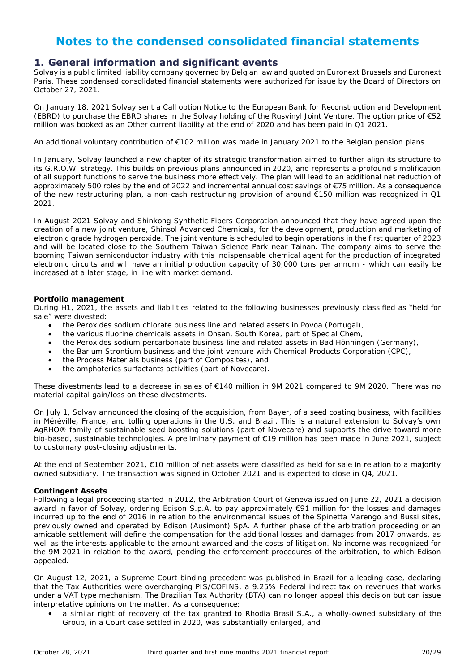# **Notes to the condensed consolidated financial statements**

### **1. General information and significant events**

Solvay is a public limited liability company governed by Belgian law and quoted on Euronext Brussels and Euronext Paris. These condensed consolidated financial statements were authorized for issue by the Board of Directors on October 27, 2021.

On January 18, 2021 Solvay sent a Call option Notice to the European Bank for Reconstruction and Development (EBRD) to purchase the EBRD shares in the Solvay holding of the Rusvinyl Joint Venture. The option price of €52 million was booked as an Other current liability at the end of 2020 and has been paid in Q1 2021.

An additional voluntary contribution of €102 million was made in January 2021 to the Belgian pension plans.

In January, Solvay launched a new chapter of its strategic transformation aimed to further align its structure to its G.R.O.W. strategy. This builds on previous plans announced in 2020, and represents a profound simplification of all support functions to serve the business more effectively. The plan will lead to an additional net reduction of approximately 500 roles by the end of 2022 and incremental annual cost savings of €75 million. As a consequence of the new restructuring plan, a non-cash restructuring provision of around  $\epsilon$ 150 million was recognized in Q1 2021.

In August 2021 Solvay and Shinkong Synthetic Fibers Corporation announced that they have agreed upon the creation of a new joint venture, Shinsol Advanced Chemicals, for the development, production and marketing of electronic grade hydrogen peroxide. The joint venture is scheduled to begin operations in the first quarter of 2023 and will be located close to the Southern Taiwan Science Park near Tainan. The company aims to serve the booming Taiwan semiconductor industry with this indispensable chemical agent for the production of integrated electronic circuits and will have an initial production capacity of 30,000 tons per annum - which can easily be increased at a later stage, in line with market demand.

#### **Portfolio management**

During H1, 2021, the assets and liabilities related to the following businesses previously classified as "held for sale" were divested:

- the Peroxides sodium chlorate business line and related assets in Povoa (Portugal),
- the various fluorine chemicals assets in Onsan, South Korea, part of Special Chem,
- the Peroxides sodium percarbonate business line and related assets in Bad Hönningen (Germany),
- the Barium Strontium business and the joint venture with Chemical Products Corporation (CPC),
- the Process Materials business (part of Composites), and
- the amphoterics surfactants activities (part of Novecare).

These divestments lead to a decrease in sales of €140 million in 9M 2021 compared to 9M 2020. There was no material capital gain/loss on these divestments.

On July 1, Solvay announced the closing of the acquisition, from Bayer, of a seed coating business, with facilities in Méréville, France, and tolling operations in the U.S. and Brazil. This is a natural extension to Solvay's own AgRHO® family of sustainable seed boosting solutions (part of Novecare) and supports the drive toward more bio-based, sustainable technologies. A preliminary payment of €19 million has been made in June 2021, subject to customary post-closing adjustments.

At the end of September 2021, €10 million of net assets were classified as held for sale in relation to a majority owned subsidiary. The transaction was signed in October 2021 and is expected to close in Q4, 2021.

#### **Contingent Assets**

Following a legal proceeding started in 2012, the Arbitration Court of Geneva issued on June 22, 2021 a decision award in favor of Solvay, ordering Edison S.p.A. to pay approximately €91 million for the losses and damages incurred up to the end of 2016 in relation to the environmental issues of the Spinetta Marengo and Bussi sites, previously owned and operated by Edison (Ausimont) SpA. A further phase of the arbitration proceeding or an amicable settlement will define the compensation for the additional losses and damages from 2017 onwards, as well as the interests applicable to the amount awarded and the costs of litigation. No income was recognized for the 9M 2021 in relation to the award, pending the enforcement procedures of the arbitration, to which Edison appealed.

On August 12, 2021, a Supreme Court binding precedent was published in Brazil for a leading case, declaring that the Tax Authorities were overcharging PIS/COFINS, a 9.25% Federal indirect tax on revenues that works under a VAT type mechanism. The Brazilian Tax Authority (BTA) can no longer appeal this decision but can issue interpretative opinions on the matter. As a consequence:

 a similar right of recovery of the tax granted to Rhodia Brasil S.A., a wholly-owned subsidiary of the Group, in a Court case settled in 2020, was substantially enlarged, and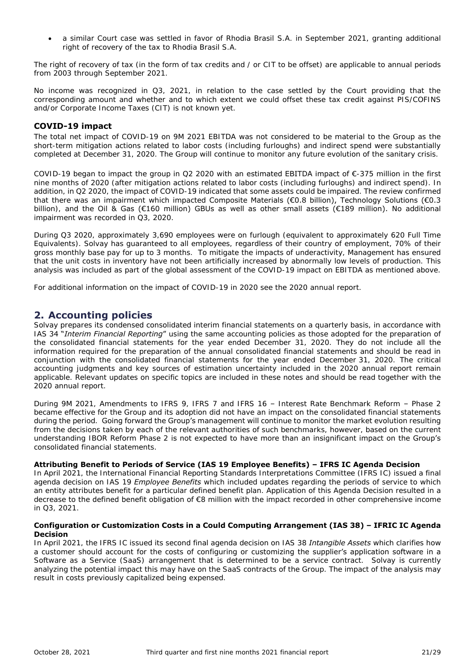a similar Court case was settled in favor of Rhodia Brasil S.A. in September 2021, granting additional right of recovery of the tax to Rhodia Brasil S.A.

The right of recovery of tax (in the form of tax credits and / or CIT to be offset) are applicable to annual periods from 2003 through September 2021.

No income was recognized in Q3, 2021, in relation to the case settled by the Court providing that the corresponding amount and whether and to which extent we could offset these tax credit against PIS/COFINS and/or Corporate Income Taxes (CIT) is not known yet.

#### **COVID-19 impact**

The total net impact of COVID-19 on 9M 2021 EBITDA was not considered to be material to the Group as the short-term mitigation actions related to labor costs (including furloughs) and indirect spend were substantially completed at December 31, 2020. The Group will continue to monitor any future evolution of the sanitary crisis.

COVID-19 began to impact the group in Q2 2020 with an estimated EBITDA impact of  $\epsilon$ -375 million in the first nine months of 2020 (after mitigation actions related to labor costs (including furloughs) and indirect spend). In addition, in Q2 2020, the impact of COVID-19 indicated that some assets could be impaired. The review confirmed that there was an impairment which impacted Composite Materials (€0.8 billion), Technology Solutions (€0.3 billion), and the Oil & Gas (€160 million) GBUs as well as other small assets (€189 million). No additional impairment was recorded in Q3, 2020.

During Q3 2020, approximately 3,690 employees were on furlough (equivalent to approximately 620 Full Time Equivalents). Solvay has guaranteed to all employees, regardless of their country of employment, 70% of their gross monthly base pay for up to 3 months. To mitigate the impacts of underactivity, Management has ensured that the unit costs in inventory have not been artificially increased by abnormally low levels of production. This analysis was included as part of the global assessment of the COVID-19 impact on EBITDA as mentioned above.

For additional information on the impact of COVID-19 in 2020 see the 2020 annual report.

### **2. Accounting policies**

Solvay prepares its condensed consolidated interim financial statements on a quarterly basis, in accordance with IAS 34 "*Interim Financial Reporting*" using the same accounting policies as those adopted for the preparation of the consolidated financial statements for the year ended December 31, 2020. They do not include all the information required for the preparation of the annual consolidated financial statements and should be read in conjunction with the consolidated financial statements for the year ended December 31, 2020. The critical accounting judgments and key sources of estimation uncertainty included in the 2020 annual report remain applicable. Relevant updates on specific topics are included in these notes and should be read together with the 2020 annual report.

During 9M 2021, Amendments to IFRS 9, IFRS 7 and IFRS 16 – Interest Rate Benchmark Reform – Phase 2 became effective for the Group and its adoption did not have an impact on the consolidated financial statements during the period. Going forward the Group's management will continue to monitor the market evolution resulting from the decisions taken by each of the relevant authorities of such benchmarks, however, based on the current understanding IBOR Reform Phase 2 is not expected to have more than an insignificant impact on the Group's consolidated financial statements.

#### **Attributing Benefit to Periods of Service (IAS 19 Employee Benefits) – IFRS IC Agenda Decision**

In April 2021, the International Financial Reporting Standards Interpretations Committee (IFRS IC) issued a final agenda decision on IAS 19 *Employee Benefits* which included updates regarding the periods of service to which an entity attributes benefit for a particular defined benefit plan. Application of this Agenda Decision resulted in a decrease to the defined benefit obligation of €8 million with the impact recorded in other comprehensive income in Q3, 2021.

#### **Configuration or Customization Costs in a Could Computing Arrangement (IAS 38) – IFRIC IC Agenda Decision**

In April 2021, the IFRS IC issued its second final agenda decision on IAS 38 *Intangible Assets* which clarifies how a customer should account for the costs of configuring or customizing the supplier's application software in a Software as a Service (SaaS) arrangement that is determined to be a service contract. Solvay is currently analyzing the potential impact this may have on the SaaS contracts of the Group. The impact of the analysis may result in costs previously capitalized being expensed.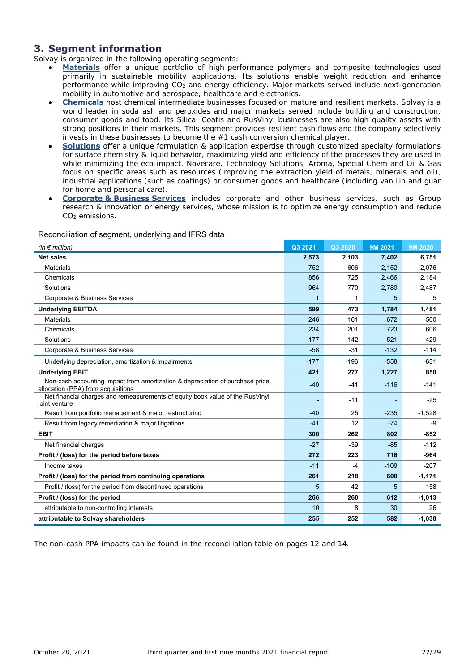### **3. Segment information**

Solvay is organized in the following operating segments:

- **Materials** offer a unique portfolio of high-performance polymers and composite technologies used primarily in sustainable mobility applications. Its solutions enable weight reduction and enhance performance while improving CO<sup>2</sup> and energy efficiency. Major markets served include next-generation mobility in automotive and aerospace, healthcare and electronics.
- **Chemicals** host chemical intermediate businesses focused on mature and resilient markets. Solvay is a world leader in soda ash and peroxides and major markets served include building and construction, consumer goods and food. Its Silica, Coatis and RusVinyl businesses are also high quality assets with strong positions in their markets. This segment provides resilient cash flows and the company selectively invests in these businesses to become the #1 cash conversion chemical player.
- **Solutions** offer a unique formulation & application expertise through customized specialty formulations for surface chemistry & liquid behavior, maximizing yield and efficiency of the processes they are used in while minimizing the eco-impact. Novecare, Technology Solutions, Aroma, Special Chem and Oil & Gas focus on specific areas such as resources (improving the extraction yield of metals, minerals and oil), industrial applications (such as coatings) or consumer goods and healthcare (including vanillin and guar for home and personal care).
- **Corporate & Business Services** includes corporate and other business services, such as Group research & innovation or energy services, whose mission is to optimize energy consumption and reduce CO<sub>2</sub> emissions.

| (in $\notin$ million)                                                                                               | Q3 2021      | Q3 2020 | 9M 2021 | 9M 2020  |
|---------------------------------------------------------------------------------------------------------------------|--------------|---------|---------|----------|
| <b>Net sales</b>                                                                                                    | 2,573        | 2,103   | 7,402   | 6,751    |
| <b>Materials</b>                                                                                                    | 752          | 606     | 2,152   | 2,076    |
| Chemicals                                                                                                           | 856          | 725     | 2,466   | 2,184    |
| Solutions                                                                                                           | 964          | 770     | 2,780   | 2,487    |
| Corporate & Business Services                                                                                       | $\mathbf{1}$ | 1       | 5       | 5        |
| <b>Underlying EBITDA</b>                                                                                            | 599          | 473     | 1,784   | 1,481    |
| <b>Materials</b>                                                                                                    | 246          | 161     | 672     | 560      |
| Chemicals                                                                                                           | 234          | 201     | 723     | 606      |
| Solutions                                                                                                           | 177          | 142     | 521     | 429      |
| Corporate & Business Services                                                                                       | $-58$        | $-31$   | $-132$  | $-114$   |
| Underlying depreciation, amortization & impairments                                                                 | $-177$       | $-196$  | $-558$  | $-631$   |
| <b>Underlying EBIT</b>                                                                                              | 421          | 277     | 1,227   | 850      |
| Non-cash accounting impact from amortization & depreciation of purchase price<br>allocation (PPA) from acquisitions | $-40$        | $-41$   | $-116$  | $-141$   |
| Net financial charges and remeasurements of equity book value of the RusVinyl<br>joint venture                      |              | $-11$   |         | $-25$    |
| Result from portfolio management & major restructuring                                                              | $-40$        | 25      | $-235$  | $-1,528$ |
| Result from legacy remediation & major litigations                                                                  | $-41$        | 12      | $-74$   | -9       |
| <b>EBIT</b>                                                                                                         | 300          | 262     | 802     | $-852$   |
| Net financial charges                                                                                               | $-27$        | $-39$   | $-85$   | $-112$   |
| Profit / (loss) for the period before taxes                                                                         | 272          | 223     | 716     | $-964$   |
| Income taxes                                                                                                        | $-11$        | $-4$    | $-109$  | $-207$   |
| Profit / (loss) for the period from continuing operations                                                           | 261          | 218     | 608     | $-1,171$ |
| Profit / (loss) for the period from discontinued operations                                                         | 5            | 42      | 5       | 158      |
| Profit / (loss) for the period                                                                                      | 266          | 260     | 612     | $-1,013$ |
| attributable to non-controlling interests                                                                           | 10           | 8       | 30      | 26       |
| attributable to Solvay shareholders                                                                                 | 255          | 252     | 582     | $-1,038$ |

#### Reconciliation of segment, underlying and IFRS data

The non-cash PPA impacts can be found in the reconciliation table on pages 12 and 14.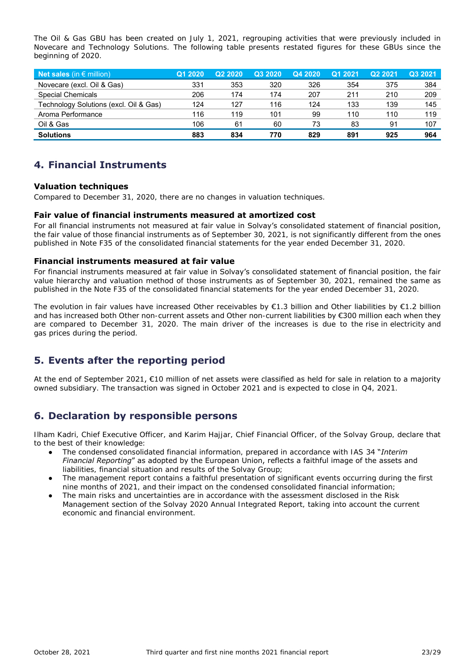The Oil & Gas GBU has been created on July 1, 2021, regrouping activities that were previously included in Novecare and Technology Solutions. The following table presents restated figures for these GBUs since the beginning of 2020.

| Net sales (in $\epsilon$ million),     | Q1 2020 | <b>೧</b> ୨ ୨Ი୨Ი | Q3 2020 | Q4 2020 | Q1 2021 | Q <sub>2</sub> 2021 | Q3 2021 |
|----------------------------------------|---------|-----------------|---------|---------|---------|---------------------|---------|
| Novecare (excl. Oil & Gas)             | 331     | 353             | 320     | 326     | 354     | 375                 | 384     |
| <b>Special Chemicals</b>               | 206     | 174             | 174     | 207     | 211     | 210                 | 209     |
| Technology Solutions (excl. Oil & Gas) | 124     | 127             | 116     | 124     | 133     | 139                 | 145     |
| Aroma Performance                      | 116     | 119             | 101     | 99      | 110     | 110                 | 119     |
| Oil & Gas                              | 106     | 61              | 60      | 73      | 83      | 91                  | 107     |
| <b>Solutions</b>                       | 883     | 834             | 770     | 829     | 891     | 925                 | 964     |

### **4. Financial Instruments**

#### **Valuation techniques**

Compared to December 31, 2020, there are no changes in valuation techniques.

#### **Fair value of financial instruments measured at amortized cost**

For all financial instruments not measured at fair value in Solvay's consolidated statement of financial position, the fair value of those financial instruments as of September 30, 2021, is not significantly different from the ones published in Note F35 of the consolidated financial statements for the year ended December 31, 2020.

#### **Financial instruments measured at fair value**

For financial instruments measured at fair value in Solvay's consolidated statement of financial position, the fair value hierarchy and valuation method of those instruments as of September 30, 2021, remained the same as published in the Note F35 of the consolidated financial statements for the year ended December 31, 2020.

The evolution in fair values have increased Other receivables by  $E1.3$  billion and Other liabilities by  $E1.2$  billion and has increased both Other non-current assets and Other non-current liabilities by €300 million each when they are compared to December 31, 2020. The main driver of the increases is due to the rise in electricity and gas prices during the period.

### **5. Events after the reporting period**

At the end of September 2021, €10 million of net assets were classified as held for sale in relation to a majority owned subsidiary. The transaction was signed in October 2021 and is expected to close in Q4, 2021.

### **6. Declaration by responsible persons**

Ilham Kadri, Chief Executive Officer, and Karim Hajjar, Chief Financial Officer, of the Solvay Group, declare that to the best of their knowledge:

- The condensed consolidated financial information, prepared in accordance with IAS 34 "*Interim Financial Reporting*" as adopted by the European Union, reflects a faithful image of the assets and liabilities, financial situation and results of the Solvay Group;
- The management report contains a faithful presentation of significant events occurring during the first nine months of 2021, and their impact on the condensed consolidated financial information;
- The main risks and uncertainties are in accordance with the assessment disclosed in the Risk Management section of the Solvay 2020 Annual Integrated Report, taking into account the current economic and financial environment.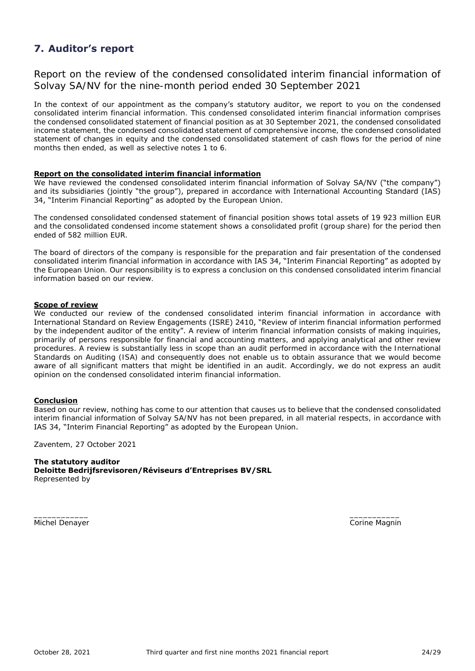### **7. Auditor's report**

Report on the review of the condensed consolidated interim financial information of Solvay SA/NV for the nine-month period ended 30 September 2021

In the context of our appointment as the company's statutory auditor, we report to you on the condensed consolidated interim financial information. This condensed consolidated interim financial information comprises the condensed consolidated statement of financial position as at 30 September 2021, the condensed consolidated income statement, the condensed consolidated statement of comprehensive income, the condensed consolidated statement of changes in equity and the condensed consolidated statement of cash flows for the period of nine months then ended, as well as selective notes 1 to 6.

#### **Report on the consolidated interim financial information**

We have reviewed the condensed consolidated interim financial information of Solvay SA/NV ("the company") and its subsidiaries (jointly "the group"), prepared in accordance with International Accounting Standard (IAS) 34, "Interim Financial Reporting" as adopted by the European Union.

The condensed consolidated condensed statement of financial position shows total assets of 19 923 million EUR and the consolidated condensed income statement shows a consolidated profit (group share) for the period then ended of 582 million EUR.

The board of directors of the company is responsible for the preparation and fair presentation of the condensed consolidated interim financial information in accordance with IAS 34, "Interim Financial Reporting" as adopted by the European Union. Our responsibility is to express a conclusion on this condensed consolidated interim financial information based on our review.

#### **Scope of review**

We conducted our review of the condensed consolidated interim financial information in accordance with International Standard on Review Engagements (ISRE) 2410, "Review of interim financial information performed by the independent auditor of the entity". A review of interim financial information consists of making inquiries, primarily of persons responsible for financial and accounting matters, and applying analytical and other review procedures. A review is substantially less in scope than an audit performed in accordance with the International Standards on Auditing (ISA) and consequently does not enable us to obtain assurance that we would become aware of all significant matters that might be identified in an audit. Accordingly, we do not express an audit opinion on the condensed consolidated interim financial information.

#### **Conclusion**

Based on our review, nothing has come to our attention that causes us to believe that the condensed consolidated interim financial information of Solvay SA/NV has not been prepared, in all material respects, in accordance with IAS 34, "Interim Financial Reporting" as adopted by the European Union.

 $\frac{1}{2}$  , the contract of the contract of the contract of the contract of the contract of the contract of the contract of the contract of the contract of the contract of the contract of the contract of the contract of t

Zaventem, 27 October 2021

#### **The statutory auditor**

**Deloitte Bedrijfsrevisoren/Réviseurs d'Entreprises BV/SRL** Represented by

Michel Denayer **Corine Magnitude Corine Magnitude Corine Magnitude Corine Magnitude Corine Magnitude Corine Magnitude Corine Magnitude Corine Magnitude Corine Magnitude Corine Magnitude Corine Magnitude Corine Magnitude Co**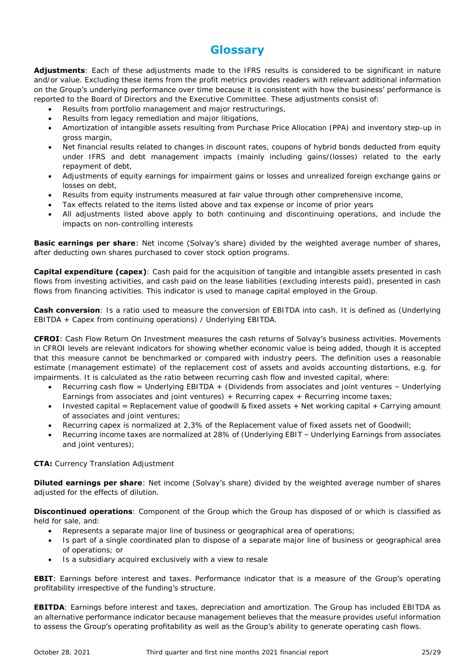### **Glossary**

**Adjustments**: Each of these adjustments made to the IFRS results is considered to be significant in nature and/or value. Excluding these items from the profit metrics provides readers with relevant additional information on the Group's underlying performance over time because it is consistent with how the business' performance is reported to the Board of Directors and the Executive Committee. These adjustments consist of:

- Results from portfolio management and major restructurings,
- Results from legacy remediation and major litigations,
- Amortization of intangible assets resulting from Purchase Price Allocation (PPA) and inventory step-up in gross margin,
- Net financial results related to changes in discount rates, coupons of hybrid bonds deducted from equity under IFRS and debt management impacts (mainly including gains/(losses) related to the early repayment of debt,
- Adjustments of equity earnings for impairment gains or losses and unrealized foreign exchange gains or losses on debt,
- Results from equity instruments measured at fair value through other comprehensive income,
- Tax effects related to the items listed above and tax expense or income of prior years
- All adjustments listed above apply to both continuing and discontinuing operations, and include the impacts on non-controlling interests

**Basic earnings per share**: Net income (Solvay's share) divided by the weighted average number of shares, after deducting own shares purchased to cover stock option programs.

**Capital expenditure (capex)**: Cash paid for the acquisition of tangible and intangible assets presented in cash flows from investing activities, and cash paid on the lease liabilities (excluding interests paid), presented in cash flows from financing activities. This indicator is used to manage capital employed in the Group.

**Cash conversion**: Is a ratio used to measure the conversion of EBITDA into cash. It is defined as (Underlying EBITDA + Capex from continuing operations) / Underlying EBITDA.

**CFROI**: Cash Flow Return On Investment measures the cash returns of Solvay's business activities. Movements in CFROI levels are relevant indicators for showing whether economic value is being added, though it is accepted that this measure cannot be benchmarked or compared with industry peers. The definition uses a reasonable estimate (management estimate) of the replacement cost of assets and avoids accounting distortions, e.g. for impairments. It is calculated as the ratio between recurring cash flow and invested capital, where:

- Recurring cash flow = Underlying EBITDA + (Dividends from associates and joint ventures Underlying Earnings from associates and joint ventures) + Recurring capex + Recurring income taxes;
- Invested capital = Replacement value of goodwill & fixed assets + Net working capital + Carrying amount of associates and joint ventures;
- Recurring capex is normalized at 2,3% of the Replacement value of fixed assets net of Goodwill;
- Recurring income taxes are normalized at 28% of (Underlying EBIT Underlying Earnings from associates and joint ventures);

#### **CTA:** Currency Translation Adjustment

**Diluted earnings per share**: Net income (Solvay's share) divided by the weighted average number of shares adjusted for the effects of dilution.

**Discontinued operations**: Component of the Group which the Group has disposed of or which is classified as held for sale, and:

- Represents a separate major line of business or geographical area of operations;
- Is part of a single coordinated plan to dispose of a separate major line of business or geographical area of operations; or
- Is a subsidiary acquired exclusively with a view to resale

#### **EBIT**: Earnings before interest and taxes. Performance indicator that is a measure of the Group's operating profitability irrespective of the funding's structure.

**EBITDA**: Earnings before interest and taxes, depreciation and amortization. The Group has included EBITDA as an alternative performance indicator because management believes that the measure provides useful information to assess the Group's operating profitability as well as the Group's ability to generate operating cash flows.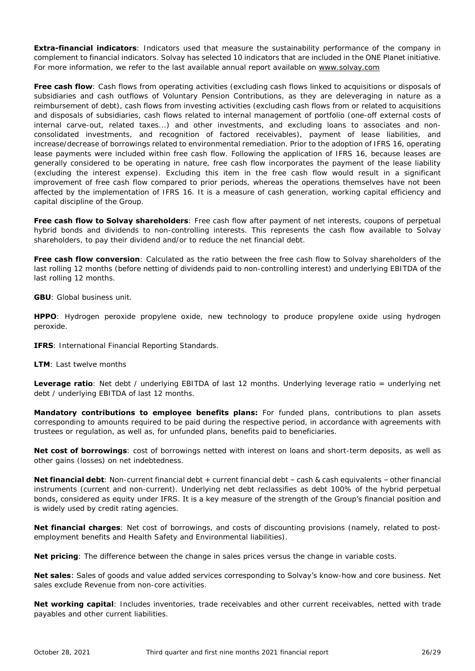**Extra-financial indicators**: Indicators used that measure the sustainability performance of the company in complement to financial indicators. Solvay has selected 10 indicators that are included in the ONE Planet initiative. For more information, we refer to the last available annual report available on [www.solvay.com](http://www.solvay.com/)

**Free cash flow**: Cash flows from operating activities (excluding cash flows linked to acquisitions or disposals of subsidiaries and cash outflows of Voluntary Pension Contributions, as they are deleveraging in nature as a reimbursement of debt), cash flows from investing activities (excluding cash flows from or related to acquisitions and disposals of subsidiaries, cash flows related to internal management of portfolio (one-off external costs of internal carve-out, related taxes...) and other investments, and excluding loans to associates and nonconsolidated investments, and recognition of factored receivables), payment of lease liabilities, and increase/decrease of borrowings related to environmental remediation. Prior to the adoption of IFRS 16, operating lease payments were included within free cash flow. Following the application of IFRS 16, because leases are generally considered to be operating in nature, free cash flow incorporates the payment of the lease liability (excluding the interest expense). Excluding this item in the free cash flow would result in a significant improvement of free cash flow compared to prior periods, whereas the operations themselves have not been affected by the implementation of IFRS 16. It is a measure of cash generation, working capital efficiency and capital discipline of the Group.

**Free cash flow to Solvay shareholders**: Free cash flow after payment of net interests, coupons of perpetual hybrid bonds and dividends to non-controlling interests. This represents the cash flow available to Solvay shareholders, to pay their dividend and/or to reduce the net financial debt.

**Free cash flow conversion**: Calculated as the ratio between the free cash flow to Solvay shareholders of the last rolling 12 months (before netting of dividends paid to non-controlling interest) and underlying EBITDA of the last rolling 12 months.

**GBU**: Global business unit.

**HPPO**: Hydrogen peroxide propylene oxide, new technology to produce propylene oxide using hydrogen peroxide.

**IFRS:** International Financial Reporting Standards.

**LTM**: Last twelve months

**Leverage ratio**: Net debt / underlying EBITDA of last 12 months. Underlying leverage ratio = underlying net debt / underlying EBITDA of last 12 months.

**Mandatory contributions to employee benefits plans:** For funded plans, contributions to plan assets corresponding to amounts required to be paid during the respective period, in accordance with agreements with trustees or regulation, as well as, for unfunded plans, benefits paid to beneficiaries.

**Net cost of borrowings**: cost of borrowings netted with interest on loans and short-term deposits, as well as other gains (losses) on net indebtedness.

**Net financial debt**: Non-current financial debt + current financial debt – cash & cash equivalents – other financial instruments (current and non-current). Underlying net debt reclassifies as debt 100% of the hybrid perpetual bonds, considered as equity under IFRS. It is a key measure of the strength of the Group's financial position and is widely used by credit rating agencies.

**Net financial charges**: Net cost of borrowings, and costs of discounting provisions (namely, related to postemployment benefits and Health Safety and Environmental liabilities).

**Net pricing**: The difference between the change in sales prices versus the change in variable costs.

**Net sales**: Sales of goods and value added services corresponding to Solvay's know-how and core business. Net sales exclude Revenue from non-core activities.

**Net working capital**: Includes inventories, trade receivables and other current receivables, netted with trade payables and other current liabilities.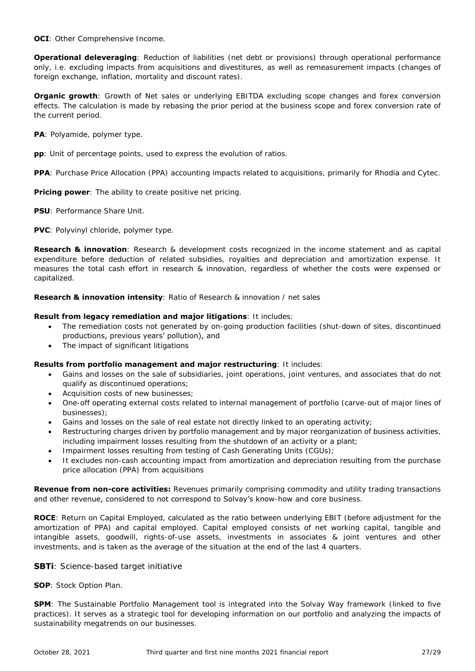**OCI:** Other Comprehensive Income.

**Operational deleveraging**: Reduction of liabilities (net debt or provisions) through operational performance only, i.e. excluding impacts from acquisitions and divestitures, as well as remeasurement impacts (changes of foreign exchange, inflation, mortality and discount rates).

**Organic growth**: Growth of Net sales or underlying EBITDA excluding scope changes and forex conversion effects. The calculation is made by rebasing the prior period at the business scope and forex conversion rate of the current period.

**PA**: Polyamide, polymer type.

**pp**: Unit of percentage points, used to express the evolution of ratios.

**PPA**: Purchase Price Allocation (PPA) accounting impacts related to acquisitions, primarily for Rhodia and Cytec.

**Pricing power**: The ability to create positive net pricing.

**PSU**: Performance Share Unit.

**PVC**: Polyvinyl chloride, polymer type.

**Research & innovation**: Research & development costs recognized in the income statement and as capital expenditure before deduction of related subsidies, royalties and depreciation and amortization expense. It measures the total cash effort in research & innovation, regardless of whether the costs were expensed or capitalized.

**Research & innovation intensity**: Ratio of Research & innovation / net sales

#### **Result from legacy remediation and major litigations**: It includes:

- The remediation costs not generated by on-going production facilities (shut-down of sites, discontinued productions, previous years' pollution), and
- The impact of significant litigations

#### **Results from portfolio management and major restructuring**: It includes:

- Gains and losses on the sale of subsidiaries, joint operations, joint ventures, and associates that do not qualify as discontinued operations;
- Acquisition costs of new businesses;
- One-off operating external costs related to internal management of portfolio (carve-out of major lines of businesses);
- Gains and losses on the sale of real estate not directly linked to an operating activity;
- Restructuring charges driven by portfolio management and by major reorganization of business activities, including impairment losses resulting from the shutdown of an activity or a plant;
- Impairment losses resulting from testing of Cash Generating Units (CGUs);
- It excludes non-cash accounting impact from amortization and depreciation resulting from the purchase price allocation (PPA) from acquisitions

**Revenue from non-core activities:** Revenues primarily comprising commodity and utility trading transactions and other revenue, considered to not correspond to Solvay's know-how and core business.

**ROCE**: Return on Capital Employed, calculated as the ratio between underlying EBIT (before adjustment for the amortization of PPA) and capital employed. Capital employed consists of net working capital, tangible and intangible assets, goodwill, rights-of-use assets, investments in associates & joint ventures and other investments, and is taken as the average of the situation at the end of the last 4 quarters.

#### **SBTi**: Science-based target initiative

**SOP**: Stock Option Plan.

**SPM**: The Sustainable Portfolio Management tool is integrated into the Solvay Way framework (linked to five practices). It serves as a strategic tool for developing information on our portfolio and analyzing the impacts of sustainability megatrends on our businesses.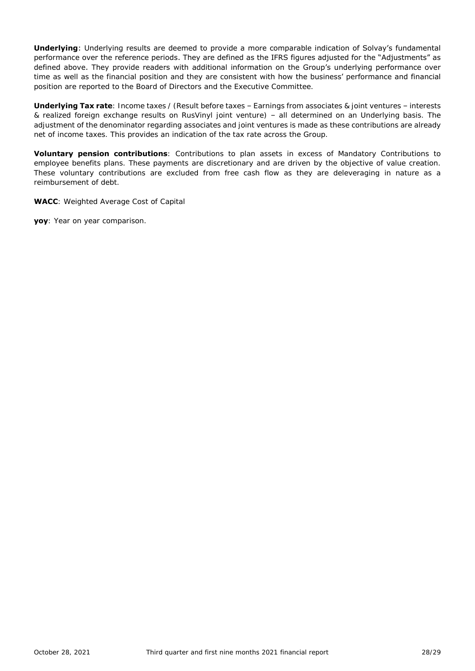**Underlying**: Underlying results are deemed to provide a more comparable indication of Solvay's fundamental performance over the reference periods. They are defined as the IFRS figures adjusted for the "Adjustments" as defined above. They provide readers with additional information on the Group's underlying performance over time as well as the financial position and they are consistent with how the business' performance and financial position are reported to the Board of Directors and the Executive Committee.

**Underlying Tax rate**: Income taxes / (Result before taxes – Earnings from associates & joint ventures – interests & realized foreign exchange results on RusVinyl joint venture) – all determined on an Underlying basis. The adjustment of the denominator regarding associates and joint ventures is made as these contributions are already net of income taxes. This provides an indication of the tax rate across the Group.

**Voluntary pension contributions**: Contributions to plan assets in excess of Mandatory Contributions to employee benefits plans. These payments are discretionary and are driven by the objective of value creation. These voluntary contributions are excluded from free cash flow as they are deleveraging in nature as a reimbursement of debt.

**WACC**: Weighted Average Cost of Capital

**yoy**: Year on year comparison.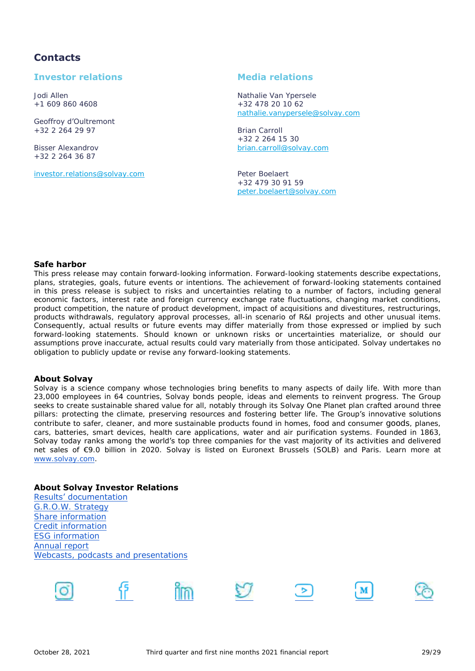### **Contacts**

### **Investor relations Media relations**

Geoffroy d'Oultremont +32 2 264 29 97 Brian Carroll

+32 2 264 36 87

[investor.relations@solvay.com](mailto:investor.relations@solvay.com) Peter Boelaert

Jodi Allen Nathalie Van Ypersele  $+32$  478 20 10 62 [nathalie.vanypersele@solvay.com](mailto:nathalie.vanypersele@solvay.com)

+32 2 264 15 30 Bisser Alexandrov [brian.carroll@solvay.com](mailto:brian.carroll@solvay.com)

> +32 479 30 91 59 [peter.boelaert@solvay.com](mailto:peter.boelaert@solvay.com)

#### **Safe harbor**

This press release may contain forward-looking information. Forward-looking statements describe expectations, plans, strategies, goals, future events or intentions. The achievement of forward-looking statements contained in this press release is subject to risks and uncertainties relating to a number of factors, including general economic factors, interest rate and foreign currency exchange rate fluctuations, changing market conditions, product competition, the nature of product development, impact of acquisitions and divestitures, restructurings, products withdrawals, regulatory approval processes, all-in scenario of R&I projects and other unusual items. Consequently, actual results or future events may differ materially from those expressed or implied by such forward-looking statements. Should known or unknown risks or uncertainties materialize, or should our assumptions prove inaccurate, actual results could vary materially from those anticipated. Solvay undertakes no obligation to publicly update or revise any forward-looking statements.

#### **About Solvay**

Solvay is a science company whose technologies bring benefits to many aspects of daily life. With more than 23,000 employees in 64 countries, Solvay bonds people, ideas and elements to reinvent progress. The Group seeks to create sustainable shared value for all, notably through its Solvay One Planet plan crafted around three pillars: protecting the climate, preserving resources and fostering better life. The Group's innovative solutions contribute to safer, cleaner, and more sustainable products found in homes, food and consumer goods, planes, cars, batteries, smart devices, health care applications, water and air purification systems. Founded in 1863, Solvay today ranks among the world's top three companies for the vast majority of its activities and delivered net sales of €9.0 billion in 2020. Solvay is listed on Euronext Brussels (SOLB) and Paris. Learn more at [www.solvay.com.](http://www.solvay.com/)

#### **About Solvay Investor Relations**

[Results' documentation](https://www.solvay.com/en/investors/financial-reporting/solvay-earnings) [G.R.O.W. Strategy](https://www.solvay.com/en/investors/financial-calendar-events-presentations/investor-days/2019-strategy-review) [Share information](https://www.solvay.com/en/investors/share-information) [Credit information](https://www.solvay.com/en/investors/bond-information) [ESG information](https://www.solvay.com/en/sustainability) [Annual report](https://www.solvay.com/en/investors/financial-reporting/annual-reports) [Webcasts, podcasts and presentations](https://www.solvay.com/en/investors/financial-calendar-events-presentations/webcasts-podcasts-presentations)